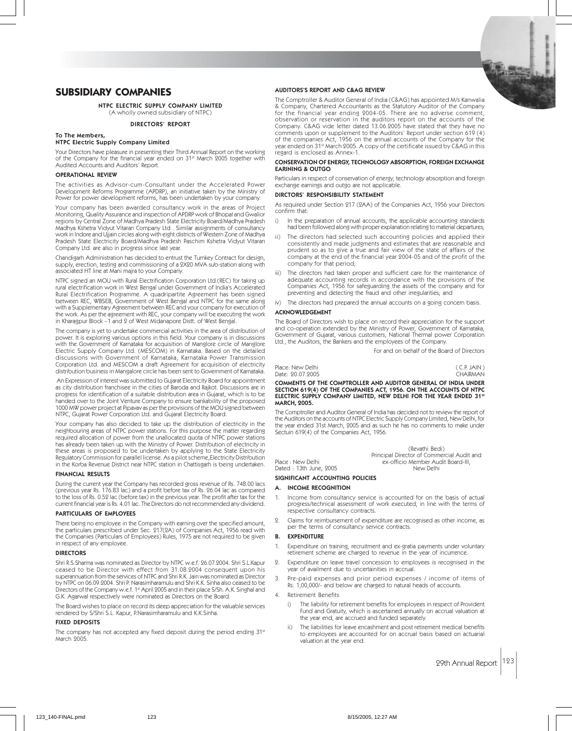

# **SUBSIDIARY COMPANIES**

NTPC ELECTRIC SUPPLY COMPANY LIMITED (A wholly owned subsidiary of NTPC)

#### DIRECTORS' REPORT

# To The Members,

#### NTPC Electric Supply Company Limited

Your Directors have pleasure in presenting their Third Annual Report on the working of the Company for the financial year ended on 31st March 2005 together with Audited Accounts and Auditors' Report.

#### OPERATIONAL REVIEW

The activities as Advisor-cum-Consultant under the Accelerated Power Development Reforms Programme (APDRP), an initiative taken by the Ministry of Power for power development reforms, has been undertaken by your company.

Your company has been awarded consultancy work in the areas of Project Monitoring, Quality Assurance and inspection of APDRP work of Bhopal and Gwalior regions by Central Zone of Madhya Pradesh State Electricity Board/Madhya Pradesh Madhya Kshetra Vidyut Vitaran Company Ltd . Similar assignments of consultancy work in Indore and Ujjain circles along with eight districts of Western Zone of Madhya Pradesh State Electricity Board/Madhya Pradesh Paschim Kshetra Vidyut Vitaran Company Ltd. are also in progress since last year.

Chandigarh Administration has decided to entrust the Turnkey Contract for design, supply, erection, testing and commissioning of a 2X20 MVA sub-station along with associated HT line at Mani majra to your Company.

NTPC signed an MOU with Rural Electrification Corporation Ltd.(REC) for taking up rural electrification work in West Bengal under Government of India's Accelerated Rural Electrification Programme. A quadripartite Agreement has been signed between REC, WBSEB, Government of West Bengal and NTPC for the same along with a Supplementary Agreement between REC and your company for execution of the work. As per the agreement with REC, your company will be executing the work in Kharagpur Block –1 and 2 of West Midanapore Distt. of West Bengal.

The company is yet to undertake commercial activities in the area of distribution of power. It is exploring various options in this field. Your company is in discussions with the Government of Karnataka for acquisition of Manglore circle of Manglore Electric Supply Company Ltd. (MESCOM) in Karnataka. Based on the detailed discussions with Government of Karnataka, Karnataka Power Transmission Corporation Ltd. and MESCOM a draft Agreement for acquisition of electricity distribution business in Mangalore circle has been sent to Government of Karnataka.

 An Expression of interest was submitted to Gujarat Electricity Board for appointment as city distribution franchisee in the cities of Baroda and Rajkot. Discussions are in progress for identification of a suitable distribution area in Gujarat, which is to be handed over to the Joint Venture Company to ensure bankability of the proposed 1000 MW power project at Pipavav as per the provisions of the MOU signed between NTPC, Gujarat Power Corporation Ltd. and Gujarat Electricity Board.

Your company has also decided to take up the distribution of electricity in the neighbouring areas of NTPC power stations. For this purpose the matter regarding required allocation of power from the unallocated quota of NTPC power stations has already been taken up with the Ministry of Power. Distribution of electricity in these areas is proposed to be undertaken by applying to the State Electricity Regulatory Commission for parallel license. As a pilot scheme,Electricity Distribution in the Korba Revenue District near NTPC station in Chattisgarh is being undertaken.

#### FINANCIAL RESULTS

During the current year the Company has recorded gross revenue of Rs. 748.00 lacs (previous year Rs. 176.83 lac) and a profit before tax of Rs. 26.04 lac as compared to the loss of Rs. 0.52 lac (before tax) in the previous year. The profit after tax for the current financial year is Rs. 4.01 lac. The Directors do not recommended any dividend.

# PARTICULARS OF EMPLOYEES

There being no employee in the Company with earning over the specified amount, the particulars prescribed under Sec. 217(2A) of Companies Act, 1956 read with the Companies (Particulars of Employees) Rules, 1975 are not required to be given in respect of any employee.

# DIRECTORS

Shri R.S.Sharma was nominated as Director by NTPC w.e.f. 26.07.2004. Shri S.L.Kapur ceased to be Director with effect from 31.08.2004 consequent upon his superannuation from the services of NTPC and Shri R.K. Jain was nominated as Director by NTPC on 06.09.2004. Shri P. Narasimharamulu and Shri K.K. Sinha also ceased to be Directors of the Company w.e.f. 1st April 2005 and in their place S/Sh. A.K. Singhal and G.K. Agarwal respectively were nominated as Directors on the Board.

The Board wishes to place on record its deep appreciation for the valuable services rendered by S/Shri S.L. Kapur, P.Narasimharamulu and K.K.Sinha.

# FIXED DEPOSITS

The company has not accepted any fixed deposit during the period ending 31st March 2005.

### AUDITORS'S REPORT AND C&AG REVIEW

The Comptroller & Auditor General of India (C&AG) has appointed M/s Kanwalia & Company, Chartered Accountants as the Statutory Auditor of the Company for the financial year ending 2004-05. There are no adverse comment, observation or reservation in the auditors report on the accounts of the Company. C&AG vide letter dated 13.06.2005 have stated that they have no comments upon or supplement to the Auditors' Report under section 619 (4) of the companies Act, 1956 on the annual accounts of the Company for the year ended on 31<sup>st</sup> March 2005. A copy of the certificate issued by C&AG in this regard is enclosed as Annex-1.

# CONSERVATION OF ENERGY, TECHNOLOGY ABSORPTION, FOREIGN EXCHANGE EARINING & OUTGO

Particulars in respect of conservation of energy, technology absorption and foreign exchange earnings and outgo are not applicable.

# DIRCTORS' RESPONSIBILITY STATEMENT

As required under Section 217 (2AA) of the Companies Act, 1956 your Directors confirm that:

- In the preparation of annual accounts, the applicable accounting standards had been followed along with proper explanation relating to material departures;
- ii) The directors had selected such accounting policies and applied their consistently and made judgments and estimates that are reasonable and prudent so as to give a true and fair view of the state of affairs of the company at the end of the financial year 2004-05 and of the profit of the company for that period;
- iii) The directors had taken proper and sufficient care for the maintenance of adequate accounting records in accordance with the provisions of the Companies Act, 1956 for safeguarding the assets of the company and for preventing and detecting the fraud and other irregularities; and
	- The directors had prepared the annual accounts on a going concern basis.

# ACKNOWLEDGEMENT

The Board of Directors wish to place on record their appreciation for the support and co-operation extended by the Ministry of Power, Government of Karnataka, Government of Gujarat, various customers, National Thermal power Corporation Ltd., the Auditors, the Bankers and the employees of the Company.

For and on behalf of the Board of Directors

Place: New Delhi (C.P. JAIN )<br>Date: 90.07.9005 (HAIRMAN) Date: 90.07.9005

#### COMMENTS OF THE COMPTROLLER AND AUDITOR GENERAL OF INDIA UNDER SECTION 619(4) OF THE COMPANIES ACT, 1956. ON THE ACCOUNTS OF NTPC ELECTRIC SUPPLY COMPANY LIMITED, NEW DELHI FOR THE YEAR ENDED 31st MARCH, 2005.

The Comptroller and Auditor General of India has decided not to review the report of the Auditors on the accounts of NTPC Electric Supply Company Limited, New Delhi, for the year ended 31st March, 2005 and as such he has no comments to make under Sectuin 619(4) of the Companies Act, 1956.

(Revathi Bedi) Principal Director of Commercial Audit and Place : New Delhi ex-officio Member Audit Board-III,<br>Dated : 13th June. 2005

### SIGNIFICANT ACCOUNTING POLICIES

#### A. INCOME RECOGNITION

Dated : 13th June, 2005

- 1. Income from consultancy service is accounted for on the basis of actual progress/technical assessment of work executed, in line with the terms of respective consultancy contracts.
- 2. Claims for reimbursement of expenditure are recognised as other income, as per the terms of consultancy service contracts.

# B. EXPENDITURE

- 1. Expenditure on training, recruitment and ex-gratia payments under voluntary retirement scheme are charged to revenue in the year of incurrence.
	- Expenditure on leave travel concession to employees is recognised in the year of availment due to uncertainities in accrual.
	- Pre-paid expenses and prior period expenses / income of items of Rs. 1,00,000/- and below are charged to natural heads of accounts.
- 4. Retirement Benefits
	- i) The liability for retirement benefits for employees in respect of Provident Fund and Gratuity, which is ascertained annually on accrual valuation at the year end, are accrued and funded separately.
	- The liabilities for leave encashment and post retirement medical benefits to employees are accounted for on accrual basis based on actuarial valuation at the year end.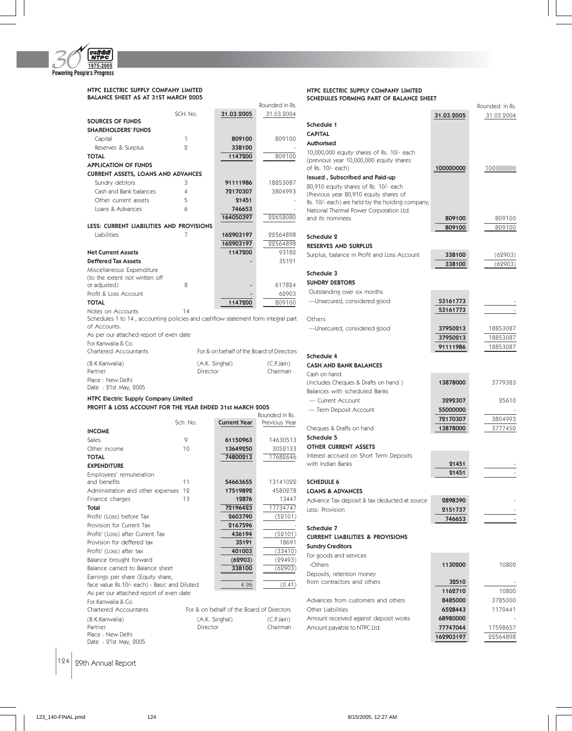

NTPC ELECTRIC SUPPLY COMPANY LIMITED BALANCE SHEET AS AT 31ST MARCH 2005

|                                                                                  |          |                                           | Rounded in Rs. |
|----------------------------------------------------------------------------------|----------|-------------------------------------------|----------------|
|                                                                                  | SCH. No. | 31.03.2005                                | 31.03.2004     |
| <b>SOURCES OF FUNDS</b>                                                          |          |                                           |                |
| <b>SHAREHOLDERS' FUNDS</b>                                                       |          |                                           |                |
| Capital                                                                          | 1        | 809100                                    | 809100         |
|                                                                                  | 9        | 338100                                    |                |
| Reserves & Surplus                                                               |          |                                           |                |
| <b>TOTAL</b>                                                                     |          | 1147200                                   | 809100         |
| <b>APPLICATION OF FUNDS</b>                                                      |          |                                           |                |
| <b>CURRENT ASSETS, LOANS AND ADVANCES</b>                                        |          |                                           |                |
| Sundry debtors                                                                   | 3        | 91111986                                  | 18853087       |
| Cash and Bank balances                                                           | 4        | 72170307                                  | 3804993        |
| Other current assets                                                             | 5        | 21451                                     |                |
| Loans & Advances                                                                 | 6        | 746653                                    |                |
|                                                                                  |          | 164050397                                 | 22658080       |
| LESS: CURRENT LIABILITIES AND PROVISIONS                                         |          |                                           |                |
| Liabilities                                                                      | 7        | 162903197                                 | 22564898       |
|                                                                                  |          | 162903197                                 | 22564898       |
| <b>Net Current Assets</b>                                                        |          | 1147200                                   | 93182          |
| <b>Deffered Tax Assets</b>                                                       |          |                                           | 35191          |
| Miscellaneous Expenditure                                                        |          |                                           |                |
| (to the extent not written off                                                   |          |                                           |                |
| or adjusted)                                                                     | 8        |                                           | 617824         |
| Profit & Loss Account                                                            |          |                                           | 62903          |
| <b>TOTAL</b>                                                                     |          | 1147200                                   | 809100         |
| Notes on Accounts                                                                | 14       |                                           |                |
| Schedules 1 to 14, accounting policies and cashflow statement form integral part |          |                                           |                |
| of Accounts.                                                                     |          |                                           |                |
| As per our attached report of even date                                          |          |                                           |                |
| For Kanwalia & Co.                                                               |          |                                           |                |
|                                                                                  |          |                                           |                |
| Chartered Accountants                                                            |          | For & on behalf of the Board of Directors |                |
|                                                                                  |          |                                           |                |
| (B.K.Kanwalia)                                                                   |          | (A.K. Singhal)                            | (C.P.Jain)     |
| Partner                                                                          | Director |                                           | Chairman       |
| Place: New Delhi                                                                 |          |                                           |                |
| Date: 21st May, 2005                                                             |          |                                           |                |
| NTPC Electric Supply Company Limited                                             |          |                                           |                |
| PROFIT & LOSS ACCOUNT FOR THE YEAR ENDED 31st MARCH 2005                         |          |                                           |                |
|                                                                                  |          |                                           | Rounded in Rs. |
|                                                                                  | Sch. No. | <b>Current Year</b>                       | Previous Year  |
| <b>INCOME</b>                                                                    |          |                                           |                |
| Sales                                                                            | 9        | 61150963                                  | 14630513       |
| Other income                                                                     | 10       | 13649250                                  | 3052133        |
| <b>TOTAL</b>                                                                     |          | 74800213                                  | 17682646       |
| <b>EXPENDITURE</b>                                                               |          |                                           |                |
| Employees' remuneration                                                          |          |                                           |                |
| and benefits                                                                     | 11       | 54663655                                  | 13141099       |
| Administration and other expenses                                                | 12       | 17519892                                  | 4580978        |
| Finance charges                                                                  | 13       | 12876                                     | 13447          |
| Total                                                                            |          | 72196423                                  | 17734747       |
| Profit/ (Loss) before Tax                                                        |          | 2603790                                   | (52101)        |
| Provision for Current Tax                                                        |          | 2167596                                   |                |
| Profit/ (Loss) after Current Tax                                                 |          | 436194                                    | (52101)        |
| Provision for deffered tax                                                       |          | 35191                                     | 18691          |
| Profit/ (Loss) after tax                                                         |          | 401003                                    | (33410)        |
| Balance brought forward                                                          |          | (62903)                                   | (29493)        |
| Balance carried to Balance sheet                                                 |          | 338100                                    | (62903)        |

face value Rs.10/- each) - Basic and Diluted  $\overline{4.96}$  (0.41)

(B.K.Kanwalia) (A.K. Singhal) (C.P.Jain) Partner Chairman Director Chairman

For & on behalf of the Board of Directors

**Authorised** 10,000,000 equity shares of Rs. 10/- each (previous year 10,000,000 equity shares of Rs. 10/- each) 100000000 100000000 100000000 Issued , Subscribed and Paid-up 80,910 equity shares of Rs. 10/- each (Previous year 80,910 equity shares of Rs. 10/- each) are held by the holding company, National Thermal Power Corporation Ltd. and its nominees 809100 809100 809100 809100 809100 Schedule 2 RESERVES AND SURPLUS Surplus, balance in Profit and Loss Account **338100** (62903)  $338100$   $(62903)$ Schedule 3 SUNDRY DEBTORS Outstanding over six months —Unsecured, considered good 53161773 53161773 Others —Unsecured, considered good 37950213 18853087 37950213 18853087 91111986 18853087 Schedule 4 CASH AND BANK BALANCES Cash on hand (includes Cheques & Drafts on hand ) 13878000 3779383 Balances with scheduled Banks — Current Account 3292307 25610 — Term Deposit Account **55000000** 72170307 3804993 Cheques & Drafts on hand 13878000 3777450 Schedule 5 OTHER CURRENT ASSETS Interest accrued on Short Term Deposits with Indian Banks 21451 21451 SCHEDULE 6

Rounded in Rs.

31.03.2005 31.03.2004

NTPC ELECTRIC SUPPLY COMPANY LIMITED SCHEDULES FORMING PART OF BALANCE SHEET

Schedule 1 CAPITAL

LOANS & ADVANCES Advance Tax deposit & tax deducted at source 2898390

# Schedule 7 CURRENT LIABILITIES & PROVISIONS

Less: Provision 2151737

| <b>Sundry Creditors</b>               |           |          |
|---------------------------------------|-----------|----------|
| For goods and services                |           |          |
| -Others                               | 1130200   | 10800    |
| Deposits, retention money             |           |          |
| from contractors and others           | 32510     |          |
|                                       | 1162710   | 10800    |
| Advances from customers and others    | 8485000   | 3785000  |
| Other Liabilities                     | 6528443   | 1170441  |
| Amount received against deposit works | 68980000  |          |
| Amount payable to NTPC Ltd.           | 77747044  | 17598657 |
|                                       | 162903197 | 22564898 |

746653

 $|124|$  29th Annual Report

Place : New Delhi Date : 21st May, 2005

As per our attached report of even date

For Kanwalia & Co.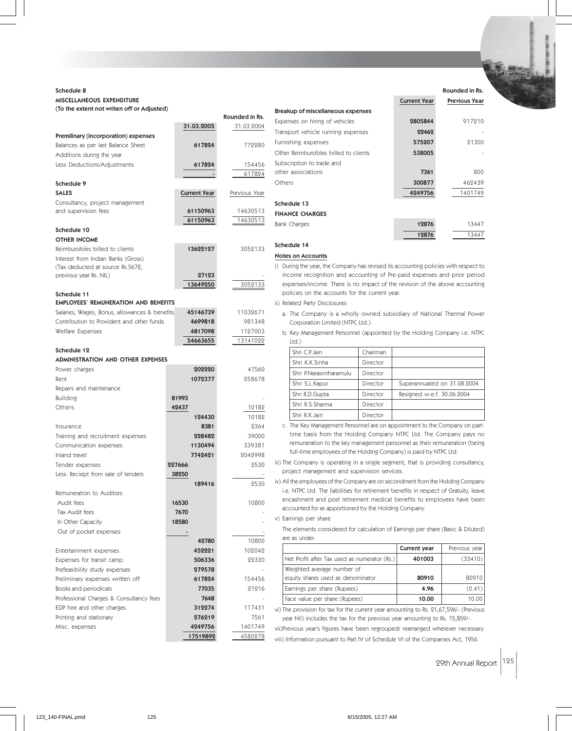# Schedule 8 MISCELLANEOUS EXPENDITURE (To the extent not writen off or Adjusted)

|                                                            |                          | Rounded in Rs. | Breakup of miscellaneous experises                                                                                             |                             |               |
|------------------------------------------------------------|--------------------------|----------------|--------------------------------------------------------------------------------------------------------------------------------|-----------------------------|---------------|
|                                                            | 31.03.2005               | 31.03.2004     | Expenses on hiring of vehicles                                                                                                 | 2805844                     | 917210        |
| Premilinary (incorporation) expenses                       |                          |                | Transport vehicle running expenses                                                                                             | 22462                       |               |
| Balances as per last Balance Sheet                         | 617824                   | 772280         | Furnishing expenses                                                                                                            | 575207                      | 21300         |
| Additions during the year                                  |                          |                | Other Reimbursibles billed to clients                                                                                          | 538005                      |               |
| Less Deductions/Adjustments                                | 617824                   | 154456         | Subscription to trade and                                                                                                      |                             |               |
|                                                            |                          | 617824         | other associations                                                                                                             | 7361                        | 800           |
| Schedule 9                                                 |                          |                | Others                                                                                                                         | 300877                      | 462439        |
| <b>SALES</b>                                               | <b>Current Year</b>      | Previous Year  |                                                                                                                                | 4249756                     | 1401749       |
| Consultancy, project management                            |                          |                | Schedule 13                                                                                                                    |                             |               |
| and supervision fees                                       | 61150963                 | 14630513       | <b>FINANCE CHARGES</b>                                                                                                         |                             |               |
|                                                            | 61150963                 | 14630513       | Bank Charges                                                                                                                   | 12876                       | 13447         |
| Schedule 10                                                |                          |                |                                                                                                                                | 12876                       | 13447         |
| <b>OTHER INCOME</b>                                        |                          |                |                                                                                                                                |                             |               |
| Reimbursibles billed to clients                            | 13622127                 | 3052133        | Schedule 14                                                                                                                    |                             |               |
| Interest from Indian Banks (Gross)                         |                          |                | <b>Notes on Accounts</b>                                                                                                       |                             |               |
| (Tax deducted at source Rs.5672,                           |                          |                | i) During the year, the Company has revised its accounting policies with respect to                                            |                             |               |
| previous year Rs. NIL)                                     | 27123                    |                | income recognition and accounting of Pre-paid expenses and prior period                                                        |                             |               |
|                                                            | 13649250                 | 3052133        | expenses/income. There is no impact of the revision of the above accounting<br>policies on the accounts for the current year.  |                             |               |
| Schedule 11<br><b>EMPLOYEES' REMUNERATION AND BENEFITS</b> |                          |                |                                                                                                                                |                             |               |
| Salaries, Wages, Bonus, allowances & benefits              | 45146739                 | 11032671       | ii) Related Party Disclosures                                                                                                  |                             |               |
| Contribution to Provident and other funds                  | 4699818                  | 981348         | a. The Company is a wholly owned subsidiary of National Thermal Power                                                          |                             |               |
| Welfare Expenses                                           | 4817098                  | 1127003        | Corporation Limited (NTPC Ltd.).                                                                                               |                             |               |
|                                                            | 54663655                 | 13141022       | b. Key Management Personnel (appointed by the Holding Company i.e. NTPC                                                        |                             |               |
| Schedule 12                                                |                          |                | Ltd.)                                                                                                                          |                             |               |
| <b>ADMINISTRATION AND OTHER EXPENSES</b>                   |                          |                | Shri C.P.Jain<br>Chairman                                                                                                      |                             |               |
| Power charges                                              | 202220                   | 47560          | Shri K.K.Sinha<br>Director                                                                                                     |                             |               |
| Rent                                                       | 1072377                  | 258678         | Shri P.Narasimharamulu<br>Director                                                                                             |                             |               |
| Repairs and maintenance                                    |                          |                | Shri S.L.Kapur<br>Director                                                                                                     | Superannuated on 31.08.2004 |               |
| <b>Building</b>                                            | 81993                    |                | Shri R.D.Gupta<br>Director                                                                                                     | Resigned w.e.f. 30.06.2004  |               |
| Others                                                     | 42437                    | 10182          | Shri R.S.Sharma<br>Director                                                                                                    |                             |               |
|                                                            | 124430                   | 10182          | Shri R.K.Jain<br>Director                                                                                                      |                             |               |
| Insurance                                                  | 8381                     | 2364           | c. The Key Management Personnel are on appointment to the Company on part-                                                     |                             |               |
| Training and recruitment expenses                          | 228482                   | 39000          | time basis from the Holding Company NTPC Ltd. The Company pays no                                                              |                             |               |
| Communication expenses                                     | 1130494                  | 339381         | remuneration to the key management personnel as their remuneration (being                                                      |                             |               |
| Inland travel                                              | 7742421                  | 2042998        | full-time employees of the Holding Company) is paid by NTPC Ltd.                                                               |                             |               |
| Tender expenses                                            | 227666                   | 2530           | iii) The Company is operating in a single segment, that is providing consultancy,                                              |                             |               |
| Less: Reciept from sale of tenders                         | 38250                    |                | project management and supervision services.                                                                                   |                             |               |
|                                                            | 189416                   | 2530           | iv) All the employees of the Company are on secondment from the Holding Company                                                |                             |               |
| Remuneration to Auditors                                   |                          |                | i.e. NTPC Ltd. The liabilities for retirement benefits in respect of Gratuity, leave                                           |                             |               |
| Audit fees                                                 | 16530                    | 10800          | encashment and post retirement medical benefits to employees have been<br>accounted for as apportioned by the Holding Company. |                             |               |
| Tax Audit fees                                             | 7670                     |                |                                                                                                                                |                             |               |
| In Other Capacity                                          | 18580                    |                | v) Earnings per share                                                                                                          |                             |               |
| Out of pocket expenses                                     | $\overline{\phantom{a}}$ |                | The elements considered for calculation of Earnings per share (Basic & Diluted)                                                |                             |               |
|                                                            | 42780                    | 10800          | are as under:                                                                                                                  |                             |               |
| Entertainment expenses                                     | 452221                   | 102042         |                                                                                                                                | Current year                | Previous year |
| Expenses for transit camp                                  | 506336                   | 22330          | Net Profit after Tax used as numerator (Rs.)                                                                                   | 401003                      | (33410)       |
| Prefeasibility study expenses                              | 279578                   |                | Weighted average number of                                                                                                     |                             |               |
| Preliminary expenses written off                           | 617824                   | 154456         | equity shares used as denominator                                                                                              | 80910                       | 80910         |
| Books and periodicals                                      | 77035                    | 21216          | Earnings per share (Rupees)                                                                                                    | 4.96                        | (0.41)        |
| Professional Charges & Consultancy fees                    | 7648                     |                | Face value per share (Rupees)                                                                                                  | 10.00                       | 10.00         |
| EDP hire and other charges                                 | 312274                   | 117431         | vi) The provision for tax for the current year amounting to Rs. 21,67,596/- (Previous                                          |                             |               |
| Printing and stationary                                    | 276219                   | 7561           | year Nil) includes the tax for the previous year amounting to Rs. 15,859/-.                                                    |                             |               |
| Misc. expenses                                             | 4249756                  | 1401749        | vii)Previous year's figures have been regrouped/ rearranged wherever necessary.                                                |                             |               |
|                                                            | 17519892                 | 4580278        | viii) Information pursuant to Part IV of Schedule VI of the Companies Act, 1956.                                               |                             |               |

Rounded in Rs. Current Year Previous Year **844** 917210

Breakup of miscellaneous expenses

29th Annual Report 125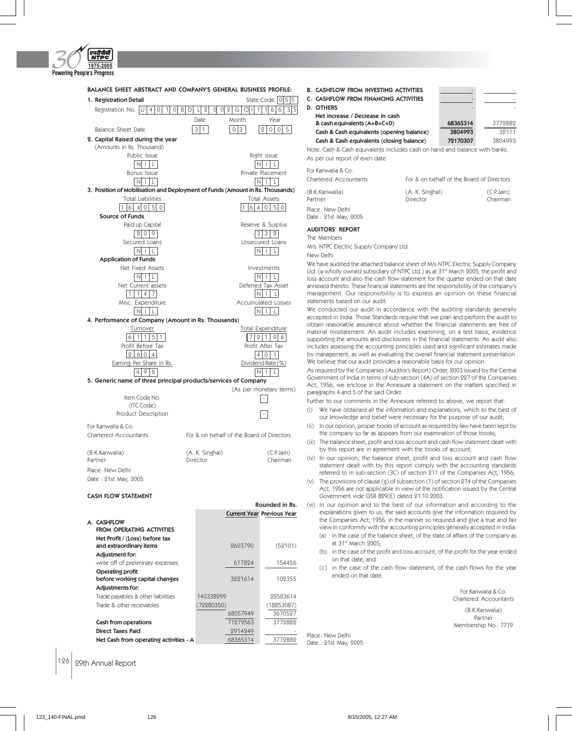

| BALANCE SHEET ABSTRACT AND COMPANY'S GENERAL BUSINESS PROFILE:                                            |                                                |                                           |
|-----------------------------------------------------------------------------------------------------------|------------------------------------------------|-------------------------------------------|
| 1. Registration Detail                                                                                    |                                                | State Code: 0 5 5                         |
| Registration No.   U  <br>4 0 <br>1 <sup>1</sup><br>0I                                                    | 8 <sup>1</sup><br>D<br>$\mathbf{Q}$<br>LI<br>0 | 0 2 G <br>1 6 6 <br>3 5 <br>I<br>1        |
|                                                                                                           | Date                                           | Month<br>Year                             |
| Balance Sheet Date                                                                                        | 3 1                                            | 5<br>0 3<br>2 0 0                         |
| 2. Capital Raised during the year                                                                         |                                                |                                           |
| (Amounts in Rs. Thousand)                                                                                 |                                                |                                           |
| Public Issue                                                                                              |                                                | Right issue                               |
| NLI                                                                                                       |                                                | InLi<br>l Ll                              |
| Bonus Issue                                                                                               |                                                | Private Placement                         |
| NLI                                                                                                       |                                                | $N$ i $L$                                 |
| 3. Position of Mobilisation and Deployment of Funds (Amount in Rs. Thousands)<br><b>Total Liabilities</b> |                                                | <b>Total Assets</b>                       |
| 1  6   4   0   5   0                                                                                      |                                                | 164050                                    |
| <b>Source of Funds</b>                                                                                    |                                                |                                           |
| Paid up Capital                                                                                           |                                                | Reserve & Surplus                         |
| 8009                                                                                                      |                                                | 3 3 <br>8                                 |
| Secured Loans                                                                                             |                                                | Unsecured Loans                           |
| $\vert N \vert$ i $\vert$ l                                                                               |                                                | In I<br>$\lfloor$                         |
| <b>Application of Funds</b>                                                                               |                                                |                                           |
| Net Fixed Assets                                                                                          |                                                | Investments                               |
| $N$   $ $ $ $ $ $                                                                                         |                                                | NI L<br>L                                 |
| Net Current assets                                                                                        |                                                | Deferred Tax Asset                        |
| 1 1 4 7                                                                                                   |                                                | In I<br>$\mathsf{L}$                      |
| Misc. Expenditure                                                                                         |                                                | <b>Accumulated Losses</b>                 |
| Iniil                                                                                                     |                                                | ΝI<br>$\overline{1}$<br>L.                |
| 4. Performance of Company (Amount in Rs. Thousands)                                                       |                                                |                                           |
| Turnover                                                                                                  |                                                | Total Expenditure                         |
| 6 1 1 5 1                                                                                                 |                                                | 7 2<br>$\vert$ 1<br>9 6                   |
| Profit Before Tax                                                                                         |                                                | Profit After Tax                          |
| 2 6 0 4                                                                                                   |                                                | 4 0 1                                     |
| Earning Per Share in Rs.                                                                                  |                                                | Dividend Rate (%)                         |
| 4 9 6<br>5. Generic name of three principal products/services of Company                                  |                                                | In L<br>I LI                              |
|                                                                                                           |                                                | (As per monetary terms)                   |
| Item Code No.                                                                                             |                                                |                                           |
| (ITC Code)                                                                                                |                                                |                                           |
| Product Description                                                                                       |                                                |                                           |
| For Kanwalia & Co.                                                                                        |                                                |                                           |
| <b>Chartered Accountants</b>                                                                              |                                                | For & on behalf of the Board of Directors |
| (B.K.Kanwalia)                                                                                            | (A. K. Singhal)                                | (C.P.Jain)                                |
| Partner                                                                                                   | Director                                       | Chairman                                  |
| Place: New Delhi                                                                                          |                                                |                                           |
| Date: 21st May, 2005                                                                                      |                                                |                                           |
| <b>CASH FLOW STATEMENT</b>                                                                                |                                                |                                           |
|                                                                                                           |                                                | Rounded in Rs.                            |

|                                        |           | <b>Current Year Previous Year</b> |
|----------------------------------------|-----------|-----------------------------------|
| A. CASHFLOW                            |           |                                   |
| FROM OPERATING ACTIVITIES              |           |                                   |
| Net Profit / (Loss) before tax         |           |                                   |
| and extraordinary items                | 9603790   | (52101)                           |
| Adjustment for:                        |           |                                   |
| write off of preliminary expenses      | 617824    | 154456                            |
| Operating profit                       |           |                                   |
| before working capital changes         | 3991614   | 109355                            |
| Adjustments for:                       |           |                                   |
| Trade payables & other liabilities     | 140338999 | 99593614                          |
| Trade & other receivables              | 72280350) | (18853087)                        |
|                                        | 68057949  | 3670597                           |
| Cash from operations                   | 71979563  | 3779889                           |
| <b>Direct Taxes Paid</b>               | 2914249   |                                   |
| Net Cash from operating activities - A | 68365314  | 3779889                           |
|                                        |           |                                   |

B. CASHFLOW FROM INVESTING ACTIVITIES C. CASHFLOW FROM FINANCING ACTIVITIES D. OTHERS Net increase / Decrease in cash & cash equivalents (A+B+C+D) 68365314 3772882 Cash & Cash equivalents (opening balance) 3804993 32111 Cash & Cash equivalents (closing balance) 72170307 3804993 Note: Cash & Cash equivalents includes cash on hand and balance with banks.

As per our report of even date

| Chartered Accountants                    | For & on behalf of the Board of Directors |                        |
|------------------------------------------|-------------------------------------------|------------------------|
| (B.K.Kanwalia)<br>Partner                | (A. K. Singhal)<br>Director               | (C.P.Jain)<br>Chairman |
| Place: New Delhi<br>Date: 21st May, 2005 |                                           |                        |

### AUDITORS' REPORT

For Kanwalia & Co.

The Members

M/s. NTPC Electric Supply Company Ltd.

New Delhi

We have audited the attached balance sheet of M/s NTPC Electric Supply Company Ltd. (a wholly owned subsidiary of NTPC Ltd.) as at 31st March 2005, the profit and loss account and also the cash flow statement for the quarter ended on that date annexed thereto. These financial statements are the responsibility of the company's management. Our responsibility is to express an opinion on these financial statements based on our audit.

We conducted our audit in accordance with the auditing standards generally accepted in India. Those Standards require that we plan and perform the audit to obtain reasonable assurance about whether the financial statements are free of material misstatement. An audit includes examining, on a test basis, evidence supporting the amounts and disclosures in the financial statements. An audit also includes assessing the accounting principles used and significant estimates made by management, as well as evaluating the overall financial statement presentation. We believe that our audit provides a reasonable basis for our opinion.

As required by the Companies (Auditor's Report) Order, 2003 issued by the Central Government of India in terms of sub-section (4A) of section 227 of the Companies Act, 1956, we enclose in the Annexure a statement on the matters specified in paragraphs 4 and 5 of the said Order.

Further to our comments in the Annexure referred to above, we report that:

- (i) We have obtained all the information and explanations, which to the best of our knowledge and belief were necessary for the purpose of our audit;
- (ii) In our opinion, proper books of account as required by law have been kept by the company so far as appears from our examination of those books;
- (iii) The balance sheet, profit and loss account and cash flow statement dealt with by this report are in agreement with the books of account;
- (iv) In our opinion, the balance sheet, profit and loss account and cash flow statement dealt with by this report comply with the accounting standards referred to in sub-section (3C) of section 211 of the Companies Act, 1956;
- (v) The provisions of clause (g) of subsection (1) of section 274 of the Companies Act, 1956 are not applicable in view of the notification issued by the Central Government vide GSR 829(E) dated 21.10.2003.

(vi) In our opinion and to the best of our information and according to the explanations given to us, the said accounts give the information required by the Companies Act, 1956, in the manner so required and give a true and fair view in conformity with the accounting principles generally accepted in India:

- (a) in the case of the balance sheet, of the state of affairs of the company as at 31st March 2005;
- (b) in the case of the profit and loss account, of the profit for the year ended on that date; and
- (c) in the case of the cash flow statement, of the cash flows for the year ended on that date.

For Kanwalia & Co. Chartered Accountants (B.K.Kanwalia) Partner

Membership No.: 7719

Place: New Delhi Date : 21st May, 2005

126 29th Annual Report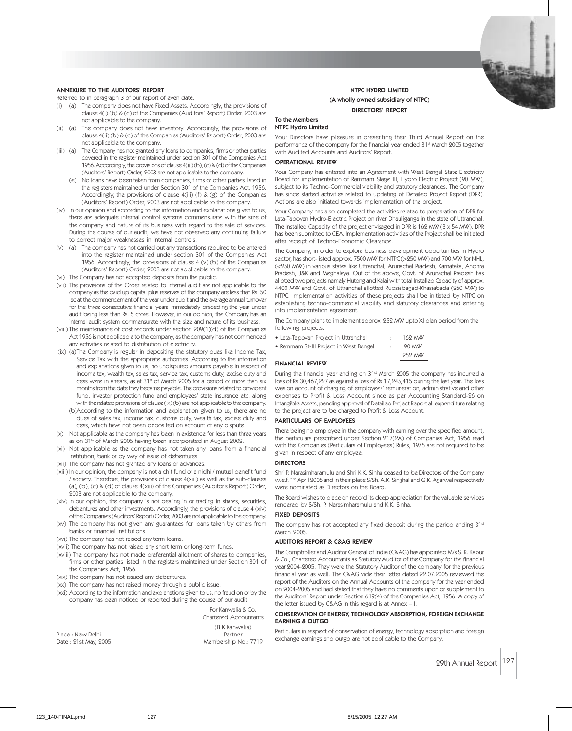### ANNEXURE TO THE AUDITORS' REPORT

Referred to in paragraph 3 of our report of even date.

- (i) (a) The company does not have Fixed Assets. Accordingly, the provisions of clause 4(i) (b) & (c) of the Companies (Auditors' Report) Order, 2003 are not applicable to the company.
- (ii) (a) The company does not have inventory. Accordingly, the provisions of clause 4(ii) (b) & (c) of the Companies (Auditors' Report) Order, 2003 are not applicable to the company.
- (iii) (a) The Company has not granted any loans to companies, firms or other parties covered in the register maintained under section 301 of the Companies Act 1956. Accordingly, the provisions of clause 4(iii) (b), (c) & (d) of the Companies (Auditors' Report) Order, 2003 are not applicable to the company.
	- (e) No loans have been taken from companies, firms or other parties listed in the registers maintained under Section 301 of the Companies Act, 1956. Accordingly, the provisions of clause 4(iii) (f) & (g) of the Companies (Auditors' Report) Order, 2003 are not applicable to the company.
- (iv) In our opinion and according to the information and explanations given to us, there are adequate internal control systems commensurate with the size of the company and nature of its business with regard to the sale of services. During the course of our audit, we have not observed any continuing failure to correct major weaknesses in internal controls.
- (v) (a) The company has not carried out any transactions required to be entered into the register maintained under section 301 of the Companies Act 1956. Accordingly, the provisions of clause 4 (v) (b) of the Companies (Auditors' Report) Order, 2003 are not applicable to the company.
- (vi) The Company has not accepted deposits from the public.
- (vii) The provisions of the Order related to internal audit are not applicable to the company as the paid up capital plus reserves of the company are less than Rs. 50 lac at the commencement of the year under audit and the average annual turnover for the three consecutive financial years immediately preceding the year under audit being less than Rs. 5 crore. However, in our opinion, the Company has an internal audit system commensurate with the size and nature of its business.
- (viii) The maintenance of cost records under section 209(1)(d) of the Companies Act 1956 is not applicable to the company, as the company has not commenced any activities related to distribution of electricity.
- (ix) (a) The Company is regular in depositing the statutory dues like Income Tax, Service Tax with the appropriate authorities. According to the information and explanations given to us, no undisputed amounts payable in respect of income tax, wealth tax, sales tax, service tax, customs duty, excise duty and cess were in arrears, as at  $31<sup>st</sup>$  of March 2005 for a period of more than six months from the date they became payable. The provisions related to provident fund, investor protection fund and employees' state insurance etc. along with the related provisions of clause (ix) (b) are not applicable to the company.
	- (b)According to the information and explanation given to us, there are no dues of sales tax, income tax, customs duty, wealth tax, excise duty and cess, which have not been deposited on account of any dispute.
- (x) Not applicable as the company has been in existence for less than three years as on 31st of March 2005 having been incorporated in August 2002.
- (xi) Not applicable as the company has not taken any loans from a financial institution, bank or by way of issue of debentures.
- (xii) The company has not granted any loans or advances.
- (xiii) In our opinion, the company is not a chit fund or a nidhi / mutual benefit fund / society. Therefore, the provisions of clause 4(xiii) as well as the sub-clauses (a), (b), (c) & (d) of clause 4(xiii) of the Companies (Auditor's Report) Order, 2003 are not applicable to the company.
- (xiv) In our opinion, the company is not dealing in or trading in shares, securities, debentures and other investments. Accordingly, the provisions of clause 4 (xiv) of the Companies (Auditors' Report) Order, 2003 are not applicable to the company.
- (xv) The company has not given any guarantees for loans taken by others from banks or financial institutions.
- (xvi) The company has not raised any term loams.
- (xvii) The company has not raised any short term or long-term funds.
- (xviii) The company has not made preferential allotment of shares to companies, firms or other parties listed in the registers maintained under Section 301 of the Companies Act, 1956.
- (xix) The company has not issued any debentures.
- (xx) The company has not raised money through a public issue.
- (xxi) According to the information and explanations given to us, no fraud on or by the company has been noticed or reported during the course of our audit.

For Kanwalia & Co. Chartered Accountants

|                      | (B.K.Kanwalia)       |
|----------------------|----------------------|
| Place : New Delhi    | Partner              |
| Date: 21st May, 2005 | Membership No.: 7719 |

# NTPC HYDRO LIMITED (A wholly owned subsidiary of NTPC) DIRECTORS' REPORT

#### To the Members NTPC Hydro Limited

Your Directors have pleasure in presenting their Third Annual Report on the performance of the company for the financial year ended 31<sup>st</sup> March 2005 together with Audited Accounts and Auditors' Report.

### OPERATIONAL REVIEW

Your Company has entered into an Agreement with West Bengal State Electricity Board for implementation of Rammam Stage III, Hydro Electric Project (90 MW), subject to its Techno-Commercial viability and statutory clearances. The Company has since started activities related to updating of Detailed Project Report (DPR). Actions are also initiated towards implementation of the project.

Your Company has also completed the activities related to preparation of DPR for Lata-Tapovan Hydro-Electric Project on river Dhauliganga in the state of Uttranchal. The Installed Capacity of the project envisaged in DPR is 162 MW (3 x 54 MW). DPR has been submitted to CEA. Implementation activities of the Project shall be initiated after receipt of Techno-Economic Clearance.

The Company, in order to explore business development opportunities in Hydro sector, has short-listed approx. 7500 MW for NTPC (>250 MW) and 700 MW for NHL, (<250 MW) in various states like Uttranchal, Arunachal Pradesh, Karnataka, Andhra Pradesh, J&K and Meghalaya. Out of the above, Govt. of Arunachal Pradesh has allotted two projects namely Hutong and Kalai with total Installed Capacity of approx. 4400 MW and Govt. of Uttranchal allotted Rupsiabagad-Khasiabada (260 MW) to NTPC. Implementation activities of these projects shall be initiated by NTPC on establishing techno-commercial viability and statutory clearances and entering into implementation agreement.

The Company plans to implement approx. 252 MW upto XI plan period from the following projects.

- Lata-Tapovan Project in Uttranchal : 162 MW
- Rammam St-III Project in West Bengal : 90 MW

252 MW

#### FINANCIAL REVIEW

During the financial year ending on 31st March 2005 the company has incurred a loss of Rs.30,467,227 as against a loss of Rs.17,245,415 during the last year. The loss was on account of charging of employees' remuneration, administrative and other expenses to Profit & Loss Account since as per Accounting Standard-26 on Intangible Assets, pending approval of Detailed Project Report all expenditure relating to the project are to be charged to Profit & Loss Account.

#### PARTICULARS OF EMPLOYEES

There being no employee in the company with earning over the specified amount, the particulars prescribed under Section 217(2A) of Companies Act, 1956 read with the Companies (Particulars of Employees) Rules, 1975 are not required to be given in respect of any employee.

#### DIRECTORS

Shri P. Narasimharamulu and Shri K.K. Sinha ceased to be Directors of the Company w.e.f. 1st April 2005 and in their place S/Sh. A.K. Singhal and G.K. Agarwal respectively were nominated as Directors on the Board.

The Board wishes to place on record its deep appreciation for the valuable services rendered by S/Sh. P. Narasimharamulu and K.K. Sinha.

# FIXED DEPOSITS

The company has not accepted any fixed deposit during the period ending 31st March 2005.

#### AUDITORS REPORT & C&AG REVIEW

The Comptroller and Auditor General of India (C&AG) has appointed M/s S. R. Kapur & Co., Chartered Accountants as Statutory Auditor of the Company for the financial year 2004-2005. They were the Statutory Auditor of the company for the previous financial year as well. The C&AG vide their letter dated 22.07.2005 reviewed the report of the Auditors on the Annual Accounts of the company for the year ended on 2004-2005 and had stated that they have no comments upon or supplement to the Auditors' Report under Section 619(4) of the Companies Act, 1956. A copy of the letter issued by C&AG in this regard is at Annex – I.

### CONSERVATION OF ENERGY, TECHNOLOGY ABSORPTION, FOREIGN EXCHANGE EARNING & OUTGO

Particulars in respect of conservation of energy, technology absorption and foreign exchange earnings and outgo are not applicable to the Company.

29th Annual Report 127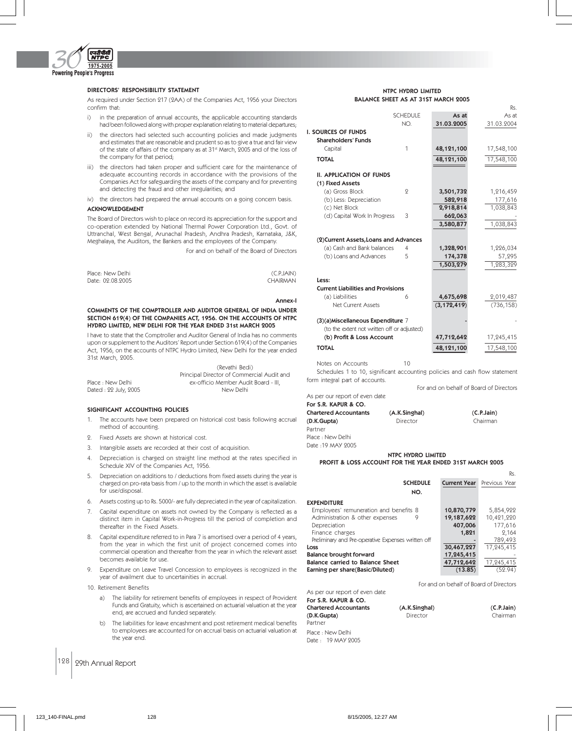

# DIRECTORS' RESPONSIBILITY STATEMENT

As required under Section 217 (2AA) of the Companies Act, 1956 your Directors confirm that:

- i) in the preparation of annual accounts, the applicable accounting standards had been followed along with proper explanation relating to material departures;
- ii) the directors had selected such accounting policies and made judgments and estimates that are reasonable and prudent so as to give a true and fair view of the state of affairs of the company as at 31st March, 2005 and of the loss of the company for that period;
- iii) the directors had taken proper and sufficient care for the maintenance of adequate accounting records in accordance with the provisions of the Companies Act for safeguarding the assets of the company and for preventing and detecting the fraud and other irregularities; and
- iv) the directors had prepared the annual accounts on a going concern basis.

# ACKNOWLEDGEMENT

The Board of Directors wish to place on record its appreciation for the support and co-operation extended by National Thermal Power Corporation Ltd., Govt. of Uttranchal, West Bengal, Arunachal Pradesh, Andhra Pradesh, Karnataka, J&K, Meghalaya, the Auditors, the Bankers and the employees of the Company.

For and on behalf of the Board of Directors

| Place: New Delhi | (C.P.JAIN) |
|------------------|------------|
| Date: 02.08.2005 | CHAIRMAN   |

#### Annex-I

#### COMMENTS OF THE COMPTROLLER AND AUDITOR GENERAL OF INDIA UNDER SECTION 619(4) OF THE COMPANIES ACT, 1956. ON THE ACCOUNTS OF NTPC HYDRO LIMITED, NEW DELHI FOR THE YEAR ENDED 31st MARCH 2005

I have to state that the Comptroller and Auditor General of India has no comments upon or supplement to the Auditors' Report under Section 619(4) of the Companies Act, 1956, on the accounts of NTPC Hydro Limited, New Delhi for the year ended 31st March, 2005.

|                      | (Revathi Bedi)                             |
|----------------------|--------------------------------------------|
|                      | Principal Director of Commercial Audit and |
| Place : New Delhi    | ex-officio Member Audit Board - III.       |
| Dated: 22 July, 2005 | New Delhi                                  |

### SIGNIFICANT ACCOUNTING POLICIES

- 1. The accounts have been prepared on historical cost basis following accrual method of accounting.
- 2. Fixed Assets are shown at historical cost.
- 3. Intangible assets are recorded at their cost of acquisition.
- 4. Depreciation is charged on straight line method at the rates specified in Schedule XIV of the Companies Act, 1956.
- 5. Depreciation on additions to / deductions from fixed assets during the year is charged on pro-rata basis from / up to the month in which the asset is available for use/disposal.
- Assets costing up to Rs. 5000/- are fully depreciated in the year of capitalization.
- Capital expenditure on assets not owned by the Company is reflected as a distinct item in Capital Work-in-Progress till the period of completion and thereafter in the Fixed Assets.
- 8. Capital expenditure referred to in Para 7 is amortised over a period of 4 years, from the year in which the first unit of project concerned comes into commercial operation and thereafter from the year in which the relevant asset becomes available for use.
- Expenditure on Leave Travel Concession to employees is recognized in the year of availment due to uncertainities in accrual.
- 10. Retirement Benefits
	- a) The liability for retirement benefits of employees in respect of Provident Funds and Gratuity, which is ascertained on actuarial valuation at the year end, are accrued and funded separately.
	- b) The liabilities for leave encashment and post retirement medical benefits to employees are accounted for on accrual basis on actuarial valuation at the year end.

# 128 29th Annual Report

|                                     | NTPC HYDRO LIMITED |  |  |  |
|-------------------------------------|--------------------|--|--|--|
| BALANCE SHEET AS AT 31ST MARCH 2005 |                    |  |  |  |

|                                             |                 |               | Rs.        |
|---------------------------------------------|-----------------|---------------|------------|
|                                             | <b>SCHEDULE</b> | As at         | As at      |
|                                             | NO.             | 31.03.2005    | 31.03.2004 |
| I. SOURCES OF FUNDS                         |                 |               |            |
| <b>Shareholders' Funds</b>                  |                 |               |            |
| Capital                                     | 1               | 48,121,100    | 17,548,100 |
| <b>TOTAL</b>                                |                 | 48,121,100    | 17,548,100 |
| <b>II. APPLICATION OF FUNDS</b>             |                 |               |            |
| (1) Fixed Assets                            |                 |               |            |
| (a) Gross Block                             | 9               | 3,501,732     | 1,216,459  |
| (b) Less: Depreciation                      |                 | 582,918       | 177,616    |
| (c) Net Block                               |                 | 2,918,814     | 1,038,843  |
| (d) Capital Work In Progress                | 3               | 662,063       |            |
|                                             |                 | 3,580,877     | 1,038,843  |
| (2)Current Assets, Loans and Advances       |                 |               |            |
| (a) Cash and Bank balances                  | 4               | 1,328,901     | 1,226,034  |
| (b) Loans and Advances                      | 5               | 174,378       | 57,295     |
|                                             |                 | 1,503,279     | 1,283,329  |
| Less:                                       |                 |               |            |
| <b>Current Liabilities and Provisions</b>   |                 |               |            |
| (a) Liabilities                             | 6               | 4,675,698     | 2,019,487  |
| Net Current Assets                          |                 | (3, 172, 419) | (736, 158) |
| (3)(a)Miscellaneous Expenditure 7           |                 |               |            |
| (to the extent not written off or adjusted) |                 |               |            |
| (b) Profit & Loss Account                   |                 | 47,712,642    | 17,245,415 |
| <b>TOTAL</b>                                |                 | 48,121,100    | 17,548,100 |
| Notes on Accounts                           | 10              |               |            |

Schedules 1 to 10, significant accounting policies and cash flow statement form integral part of accounts.

For and on behalf of Board of Directors

 $(C.P.Jain)$ Chairman

As per our report of even date

| For S.R. KAPUR & CO.  |               |  |
|-----------------------|---------------|--|
| Chartered Accountants | (A.K.Singhal) |  |
| (D.K.Gupta)           | Director      |  |
| Partner               |               |  |
| Place : New Delhi     |               |  |
| Date :19 MAY 2005     |               |  |

NTPC HYDRO LIMITED

# PROFIT & LOSS ACCOUNT FOR THE YEAR ENDED 31ST MARCH 2005

|                                                    |                     | Rs.           |
|----------------------------------------------------|---------------------|---------------|
| <b>SCHEDULE</b>                                    | <b>Current Year</b> | Previous Year |
| NO.                                                |                     |               |
| <b>EXPENDITURE</b>                                 |                     |               |
| Employees' remuneration and benefits 8             | 10,870,779          | 5,854,922     |
| Administration & other expenses<br>9               | 19,187,622          | 10,421,220    |
| Depreciation                                       | 407,006             | 177,616       |
| Finance charges                                    | 1,821               | 2.164         |
| Preliminary and Pre-operative Expenses written off |                     | 789,493       |
| Loss                                               | 30,467,227          | 17,245,415    |
| <b>Balance brought forward</b>                     | 17,245,415          |               |
| Balance carried to Balance Sheet                   | 47,712,642          | 17,245,415    |
| Earning per share(Basic/Diluted)                   | (13.85)             | (59.94)       |
|                                                    |                     |               |

As per our report of even date

For and on behalf of Board of Directors

| For S.R. KAPUR & CO.         |               |            |
|------------------------------|---------------|------------|
| <b>Chartered Accountants</b> | (A.K.Singhal) | (C.P.Jain) |
| (D.K.Gupta)                  | Director      | Chairman   |
| Partner                      |               |            |
| Place · New Delhi            |               |            |

Plac Date : 19 MAY 2005

Pa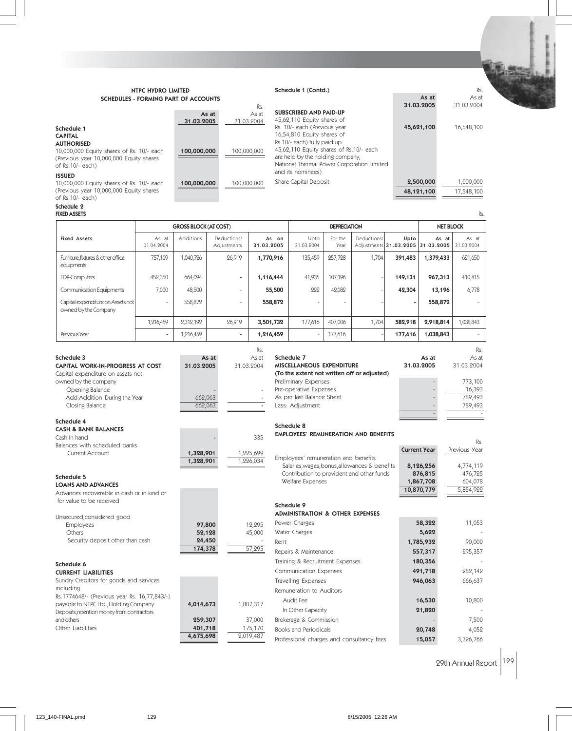# NTPC HYDRO LIMITED SCHEDULES - FORMING PART OF ACCOUNTS

# Schedule 1 (Contd.) Rs.

| <b>SCHEDULES - FORMING PART OF ACCOUNTS</b>                                                                                                                      | As at               | As at               |                                                                                                                                                                                                                         |                         |                         |
|------------------------------------------------------------------------------------------------------------------------------------------------------------------|---------------------|---------------------|-------------------------------------------------------------------------------------------------------------------------------------------------------------------------------------------------------------------------|-------------------------|-------------------------|
|                                                                                                                                                                  |                     | Rs.                 |                                                                                                                                                                                                                         | 31.03.2005              | 31.03.2004              |
|                                                                                                                                                                  | As at<br>31.03.2005 | As at<br>31.03.2004 | <b>SUBSCRIBED AND PAID-UP</b><br>45,62,110 Equity shares of                                                                                                                                                             |                         |                         |
| Schedule 1<br><b>CAPITAL</b><br><b>AUTHORISED</b><br>10,000,000 Equity shares of Rs. 10/- each<br>(Previous year 10,000,000 Equity shares)<br>of $Rs.10/-$ each) | 100,000,000         | 100,000,000         | Rs. 10/- each (Previous year<br>16,54,810 Equity shares of<br>Rs.10/- each) fully paid up.<br>45,62,110 Equity shares of Rs.10/- each<br>are held by the holding company,<br>National Thermal Power Corporation Limited | 45,621,100              | 16,548,100              |
| <b>ISSUED</b><br>10,000,000 Equity shares of Rs. 10/- each<br>(Previous year 10,000,000 Equity shares)<br>$\sim$ F De 10/ each $\sim$                            | 100,000,000         | 100,000,000         | and its nominees)<br>Share Capital Deposit                                                                                                                                                                              | 2,500,000<br>48,121,100 | 1,000,000<br>17,548,100 |

 $of$  Rs.10/- $each)$ 

Schedule 2

| <b>FIXED ASSETS</b><br>Rs.                                |                          |                              |                            |                     |                    |                          |                  |                          |                                            |                     |  |  |  |
|-----------------------------------------------------------|--------------------------|------------------------------|----------------------------|---------------------|--------------------|--------------------------|------------------|--------------------------|--------------------------------------------|---------------------|--|--|--|
|                                                           |                          | <b>GROSS BLOCK (AT COST)</b> |                            |                     |                    | <b>DEPRECIATION</b>      | <b>NET BLOCK</b> |                          |                                            |                     |  |  |  |
| <b>Fixed Assets</b>                                       | As at<br>01.04.2004      | Additions                    | Deductions/<br>Adjustments | As on<br>31.03.2005 | Upto<br>31.03.2004 | For the<br>Year          | Deductions/      | Upto                     | As at<br>Adjustments 31.03.2005 31.03.2005 | As at<br>31.03.2004 |  |  |  |
| Furniture, fixtures & other office<br>equipments          | 757,109                  | 1,040,726                    | 26,919                     | 1,770,916           | 135,459            | 257,728                  | 1,704            | 391,483                  | 1,379,433                                  | 621,650             |  |  |  |
| <b>EDP-Computers</b>                                      | 452,350                  | 664,094                      | $\overline{\phantom{a}}$   | 1,116,444           | 41,935             | 107,196                  |                  | 149,131                  | 967,313                                    | 410,415             |  |  |  |
| <b>Communication Equipments</b>                           | 7,000                    | 48,500                       | $\overline{\phantom{a}}$   | 55,500              | 222                | 42,082                   |                  | 42,304                   | 13,196                                     | 6,778               |  |  |  |
| Capital expenditure on Assets not<br>owned by the Company |                          | 558,872                      | $\overline{\phantom{a}}$   | 558,872             |                    | $\overline{\phantom{a}}$ |                  | $\overline{\phantom{a}}$ | 558,872                                    |                     |  |  |  |
|                                                           | 1,216,459                | 2,312,192                    | 26,919                     | 3,501,732           | 177,616            | 407,006                  | 1,704            | 582,918                  | 2,918,814                                  | 1,038,843           |  |  |  |
| Previous Year                                             | $\overline{\phantom{a}}$ | 1,216,459                    | ٠                          | 1,216,459           | $\sim$             | 177,616                  |                  | 177,616                  | 1,038,843                                  |                     |  |  |  |

|                                   |            | Rs.                      |                                             |            | Rs.        |
|-----------------------------------|------------|--------------------------|---------------------------------------------|------------|------------|
| Schedule 3                        | As at      | As at                    | Schedule 7                                  | As at      | As at      |
| CAPITAL WORK-IN-PROGRESS AT COST  | 31.03.2005 | 31.03.2004               | MISCELLANEOUS EXPENDITURE                   | 31.03.2005 | 31.03.2004 |
| Capital expenditure on assets not |            |                          | (To the extent not written off or adjusted) |            |            |
| owned by the company              |            |                          | Preliminary Expenses                        |            | 773,100    |
| Opening Balance                   |            | $\overline{\phantom{a}}$ | Pre-operative Expenses                      |            | 16,393     |
| Add:Addition During the Year      | 662.063    | $\overline{\phantom{a}}$ | As per last Balance Sheet                   |            | 789,493    |
| Closing Balance                   | 662.063    |                          | Less: Adiustment                            |            | 789,493    |
|                                   |            |                          |                                             |            |            |

Schedule 8

#### Schedule 4 CASH & BANK BALANCES

| SAJILA DANN DALANGEJ          |           |           |
|-------------------------------|-----------|-----------|
| Cash In hand                  | -         | 335       |
| Balances with scheduled banks |           |           |
| Current Account               | 1,328,901 | 1,225,699 |
|                               | 1,328,901 | 1.226.034 |

# Schedule 5

LOANS AND ADVANCES Advances recoverable in cash or in kind or for value to be received

| Unsecured, considered good       |         |        |
|----------------------------------|---------|--------|
| <b>Employees</b>                 | 97,800  | 12,295 |
| <b>Others</b>                    | 52,128  | 45,000 |
| Security deposit other than cash | 24,450  |        |
|                                  | 174,378 | 57.295 |

### Schedule 6

CURRENT LIABILITIES Sundry Creditors for goods and services including Rs.1774648/- (Previous year Rs. 16,77,843/-) payable to NTPC Ltd., Holding Company **4,014,673** 1,807,317 Deposits,retention money from contractors and others 259,307 37,000 Other Liabilities **401,718** 175,170<br>**4,675,698** 2,019,487

 $\frac{1}{034}$ 57,295 Employees' remuneration and benefits Salaries, wages, bonus, allowances & benefits **8,126,256** 4,774,119<br>Contribution to provident and other funds **876,815** 476,725 Contribution to provident and other funds **876,815** Welfare Expenses 1,867,708 604,078 10,870,779 5,854,922 Schedule 9 ADMINISTRATION & OTHER EXPENSES Power Charges **58,322** 11,053 Water Charges 5,622 Rent 20,000 1,785,932 90,000 Repairs & Maintenance **557,317** 295,357 Training & Recruitment Expenses 180,356 Communication Expenses **491,718** 282,142 Travelling Expenses **946,063** 666,637

EMPLOYEES' REMUNERATION AND BENEFITS

| <b>HOVEHING LADELISES</b>                 | 740,003 | UUU,UJI   |
|-------------------------------------------|---------|-----------|
| Remuneration to Auditors                  |         |           |
| Audit Fee                                 | 16,530  | 10,800    |
| In Other Capacity                         | 21,820  |           |
| Brokerage & Commission                    |         | 7.500     |
| <b>Books and Periodicals</b>              | 20,748  | 4.052     |
| Professional charges and consultancy fees | 15,057  | 3,726,766 |

29th Annual Report 129

Rs.

Current Year Previous Year

4,675,698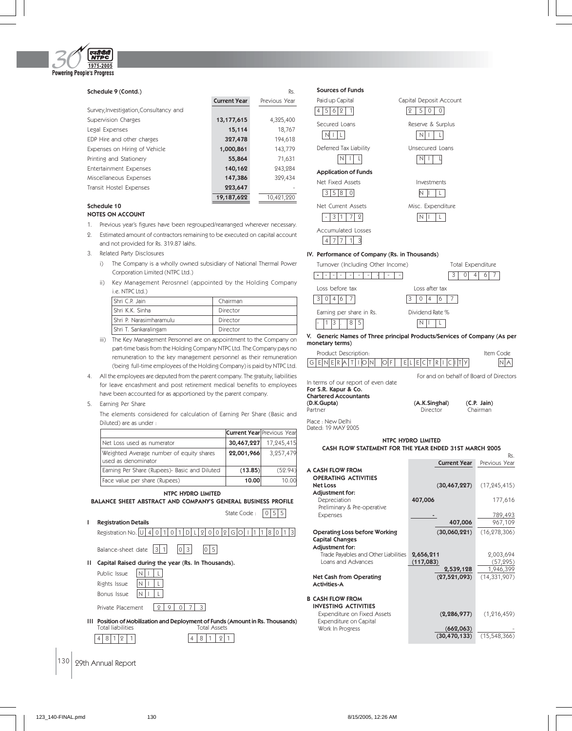

| Schedule 9 (Contd.)                    |                     | Rs.           |
|----------------------------------------|---------------------|---------------|
|                                        | <b>Current Year</b> | Previous Year |
| Survey, Investigation, Consultancy and |                     |               |
| Supervision Charges                    | 13,177,615          | 4,325,400     |
| Legal Expenses                         | 15,114              | 18,767        |
| EDP Hire and other charges             | 327,478             | 194,618       |
| Expenses on Hiring of Vehicle          | 1,000,861           | 143,779       |
| Printing and Stationery                | 55,864              | 71,631        |
| Entertainment Expenses                 | 140,162             | 243,284       |
| Miscellaneous Expenses                 | 147,386             | 329,434       |
| Transit Hostel Expenses                | 223,647             |               |
|                                        | 19,187,622          | 10,421,220    |
| .                                      |                     |               |

| Sources of Funds                 |                         |
|----------------------------------|-------------------------|
| Paid up Capital                  | Capital Deposit Account |
| 5<br>6<br>12                     | 5<br>0                  |
| Secured Loans                    | Reserve & Surplus       |
|                                  |                         |
| Deferred Tax Liability           | Unsecured Loans         |
|                                  |                         |
| <b>Application of Funds</b>      |                         |
| Net Fixed Assets                 | Investments             |
| 18<br>5<br>З<br>$\left( \right)$ |                         |
| Net Current Assets               | Misc. Expenditure       |
| 1<br>3<br>2                      |                         |
| Accumulated Losses               |                         |
| 3<br>4                           |                         |

# Reserve & Surplus  $N$   $1$   $L$ Unsecured Loans  $N$  $|$   $|$   $|$ Investments  $N$   $\vert$   $\vert$   $\vert$   $\vert$   $\vert$   $\vert$

# IV. Performance of Company (Rs. in Thousands)



| V. Generic Names of Three principal Products/Services of Company (As per |  |  |  |
|--------------------------------------------------------------------------|--|--|--|
| monetary terms)                                                          |  |  |  |
|                                                                          |  |  |  |

|                                 | Product Description: |  |  |  |  |  |  |  |  |  |  |  |  | Item Code |  |  |
|---------------------------------|----------------------|--|--|--|--|--|--|--|--|--|--|--|--|-----------|--|--|
| $GENERATIDNN OF TELEECTRICTITY$ |                      |  |  |  |  |  |  |  |  |  |  |  |  |           |  |  |

In terms of our report of even date For S.R. Kapur & Co.

Chartered Accountants

(A.K.Singhal) (C.P. Jain) Partner **Director** Chairman

For and on behalf of Board of Directors

Place : New Delhi

Dated: 19 MAY 2005

#### NTPC HYDRO LIMITED CASH FLOW STATEMENT FOR THE YEAR ENDED 31ST MARCH 2005

|                                      |           |                     | Rs.            |
|--------------------------------------|-----------|---------------------|----------------|
|                                      |           | <b>Current Year</b> | Previous Year  |
| A CASH FLOW FROM                     |           |                     |                |
| <b>OPERATING ACTIVITIES</b>          |           |                     |                |
| <b>Net Loss</b>                      |           | (30, 467, 227)      | (17, 245, 415) |
| Adjustment for:                      |           |                     |                |
| Depreciation                         | 407,006   |                     | 177,616        |
| Preliminary & Pre-operative          |           |                     |                |
| <b>Expenses</b>                      |           |                     | 789,493        |
|                                      |           | 407,006             | 967,109        |
| <b>Operating Loss before Working</b> |           | (30,060,221)        | (16, 278, 306) |
| <b>Capital Changes</b>               |           |                     |                |
| Adjustment for:                      |           |                     |                |
| Trade Payables and Other Liabilities | 2,656,211 |                     | 2,003,694      |
| Loans and Advances                   | (117,083) |                     | (57, 295)      |
|                                      |           | 2,539,128           | 1,946,399      |
| Net Cash from Operating              |           | (27, 521, 093)      | (14, 331, 907) |
| <b>Activities-A</b>                  |           |                     |                |
| <b>B CASH FLOW FROM</b>              |           |                     |                |
| <b>INVESTING ACTIVITIES</b>          |           |                     |                |
| Expenditure on Fixed Assets          |           | (2, 286, 977)       | (1, 216, 459)  |
| Expenditure on Capital               |           |                     |                |
| Work In Progress                     |           | (662, 063)          |                |
|                                      |           | (30, 470, 133)      | (15, 548, 366) |
|                                      |           |                     |                |

# Schedule 10

# NOTES ON ACCOUNT

- 1. Previous year's figures have been regrouped/rearranged wherever necessary.
- 2. Estimated amount of contractors remaining to be executed on capital account and not provided for Rs. 319.87 lakhs.
- 3. Related Party Disclosures
	- i) The Company is a wholly owned subsidiary of National Thermal Power Corporation Limited (NTPC Ltd.)
	- ii) Key Management Perosnnel (appointed by the Holding Company i.e. NTPC Ltd.)

| Shri C.P. Jain            | Chairman |
|---------------------------|----------|
| Shri K.K. Sinha           | Director |
| l Shri P. Narasimharamulu | Director |
| Shri T. Sankaralingam     | Director |

- iii) The Key Management Personnel are on appointment to the Company on part-time basis from the Holding Company NTPC Ltd. The Company pays no remuneration to the key management personnel as their remuneration (being full-time employees of the Holding Company) is paid by NTPC Ltd.
- 4. All the employees are deputed from the parent company. The gratuity, liabilities for leave encashment and post retirement medical benefits to employees have been accounted for as apportioned by the parent company.

# 5. Earning Per Share

I Registration Details

The elements considered for calculation of Earning Per Share (Basic and Diluted) are as under :

|                                                                 |            | <b>Current Year Previous Year</b> |
|-----------------------------------------------------------------|------------|-----------------------------------|
| Net Loss used as numerator                                      | 30,467,227 | 17,245,415                        |
| Weighted Average number of equity shares<br>used as denominator | 22,001,966 | 3.257.479                         |
| Earning Per Share (Rupees) Basic and Diluted                    | (13.85)    | (52.94)                           |
| Face value per share (Rupees)                                   | 10.00      | 10.00                             |

NTPC HYDRO LIMITED

BALANCE SHEET ABSTRACT AND COMPANY'S GENERAL BUSINESS PROFILE

State Code :  $\boxed{0|5|5}$ 

Registration No.  $\boxed{U 4 0 1 0 1 D L 2 0 0 2 G 0 1 1 1 8 0 1 3}$ 



II Capital Raised during the year (Rs. In Thousands).

| Public Issue           |  | $N$ $ 1$ $ 1$ |
|------------------------|--|---------------|
| Rights Issue           |  | NLILI         |
| Bonus Issue            |  | NLIL          |
| Daire and District and |  |               |

Private Placement 2 9 0 7 3

**III Position of Mobilization and Deployment of Funds (Amount in Rs. Thousands)**<br>Total liabilities **Total Assets** Total liabilities  $48121$   $48121$ 

 $|130|$  29th Annual Report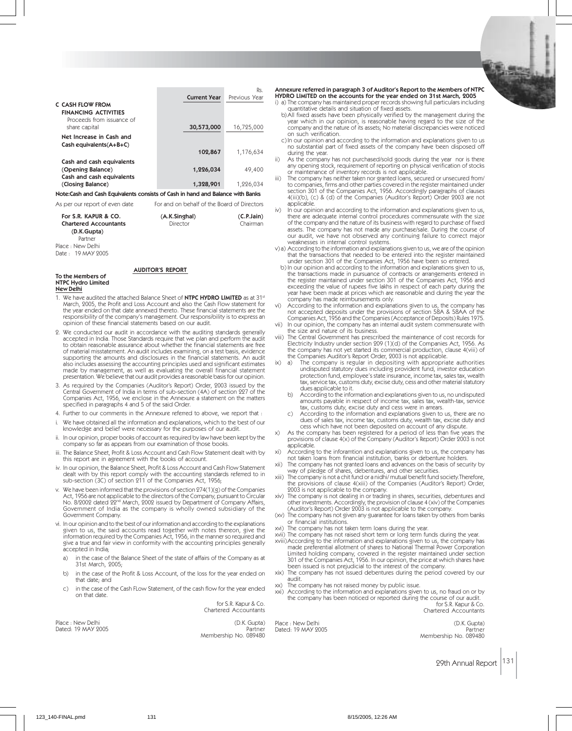|                                                                                               |                     | Rs.           |
|-----------------------------------------------------------------------------------------------|---------------------|---------------|
|                                                                                               | <b>Current Year</b> | Previous Year |
| C CASH FLOW FROM<br><b>FINANCING ACTIVITIES</b><br>Proceeds from issuance of<br>share capital | 30,573,000          | 16,725,000    |
| Net Increase in Cash and<br>$Cash$ equivalents $(A+B+C)$                                      | 102,867             | 1,176,634     |
| Cash and cash equivalents                                                                     |                     |               |
| (Opening Balance)<br>Cash and cash equivalents                                                | 1,226,034           | 49,400        |
| (Closing Balance)                                                                             | 1,328,901           | 1,226,034     |
| Note:Cash and Cash Equivalents consists of Cash in hand and Balance with Banks                |                     |               |

As per our report of even date For and on behalf of the Board of Directors

| $\sim$ by performance to the control of $\sim$       | <u>For and on ochan or the board or birectors</u> |                        |
|------------------------------------------------------|---------------------------------------------------|------------------------|
| For S.R. KAPUR & CO.<br><b>Chartered Accountants</b> | (A.K.Singhal)<br>Director                         | (C.P.Jain)<br>Chairman |
| (D.K.Gupta)<br>Partner                               |                                                   |                        |
| Place : New Delhi<br>Date: 19 MAY 9005               |                                                   |                        |

# AUDITOR'S REPORT

# To the Members of NTPC Hydro Limited New Delhi

- 1. We have audited the attached Balance Sheet of NTPC HYDRO LIMITED as at 31st March, 2005, the Profit and Loss Account and also the Cash Flow statement for the year ended on that date annexed thereto. These financial statements are the responsibility of the company's management. Our responsibility is to express an opinion of these financial statements based on our audit.
- 2. We conducted our audit in accordance with the auditing standards generally accepted in India. Those Standards require that we plan and perform the audit to obtain reasonable assurance about whether the financial statements are free<br>of material misstatement. An audit includes examining, on a test basis, evidence<br>supporting the amounts and disclosures in the financial statem also includes assessing the accounting principles used and significant estimates made by management, as well as evaluating the overall financial statement presentation. We believe that our audit provides a reasonable basis for our opinion.
- 3. As required by the Companies (Auditor's Report) Order, 2003 issued by the Central Government of India in terms of sub-section (4A) of section 227 of the Companies Act, 1956, we enclose in the Annexure a statement on the matters specified in paragraphs 4 and 5 of the said Order.
- Further to our comments in the Annexure referred to above, we report that :
- i. We have obtained all the information and explanations, which to the best of our knowledge and belief were necessary for the purposes of our audit.
- ii. In our opinion, proper books of account as required by law have been kept by the company so far as appears from our examination of those books.
- iii. The Balance Sheet, Profit & Loss Account and Cash Flow Statement dealt with by this report are in agreement with the books of account.
- iv. In our opinion, the Balance Sheet, Profit & Loss Account and Cash Flow Statement dealt with by this report comply with the accounting standards referred to in sub-section (3C) of section 211 of the Companies Act, 1956;
- v. We have been informed that the provisions of section  $274(1)(g)$  of the Companies<br>Act, 1956 are not applicable to the directors of the Company, pursuant to Circular<br>No. 8/2002 dated 22<sup>nd</sup> March, 2002 issued by Departme Government of India as the company is wholly owned subsidiary of the Government Company.
- vi. In our opinion and to the best of our information and according to the explanations given to us, the said accounts read together with notes thereon, give the<br>information required by the Companies Act, 1956, in the manner so required and<br>give a true and fair view in conformity with the accounting principle accepted in India;
	- a) in the case of the Balance Sheet of the state of affairs of the Company as at 31st March, 2005;
	- b) in the case of the Profit & Loss Account, of the loss for the year ended on that date; and
	- c) in the case of the Cash FLow Statement, of the cash flow for the year ended on that date.

for S.R. Kapur & Co. Chartered Accountants

Place : New Delhi (D.K. Gupta) Dated: 19 MAY 2005

Membership No. 089480

Annexure referred in paragraph 3 of Auditor's Report to the Members of NTPC HYDRO LIMITED on the accounts for the year ended on 31st March, 2005 i) a) The company has maintained proper records showing full particulars including

quantitative details and situation of fixed assets. b) All fixed assets have been physically verified by the management during the year which in our opinion, is reasonable having regard to the size of the

- company and the nature of its assets; No material discrepancies were noticed on such verification.
- c) In our opinion and according to the information and explanations given to us no substantial part of fixed assets of the company have been disposed off during the year.
- As the company has not purchased/sold goods during the year nor is there any opening stock, requirement of reporting on physical verification of stocks or maintenance of inventory records is not applicable. iii) The company has neither taken nor granted loans, secured or unsecured from/
- to companies, firms and other parties covered in the register maintained under section 301 of the Companies Act, 1956. Accordingly paragraphs of clauses 4(iii)(b), (c) & (d) of the Companies (Auditor's Report) Order 2003 are not applicable.
- iv) In our opinion and according to the information and explanations given to us, there are adequate internal control procedures commensurate with the size of the company and the nature of its business with regard to purchase of fixed assets. The company has not made any purchase/sale. During the course of our audit, we have not observed any continuing failure to correct major weaknesses in internal control systems.
- v) a) According to the information and explanations given to us, we are of the opinion that the transactions that needed to be entered into the register maintained under section 301 of the Companies Act, 1956 have been so entered.
- b) In our opinion and according to the information and explanations given to us,<br>the transactions made in pursuance of contracts or arrangements entered in<br>the register maintained under section 301 of the Companies Act, 19 exceeding the value of rupees five lakhs in respect of each party during the year have been made at prices which are reasonable and during the year the company has made reimbursements only.
- vi) According to the information and explanations given to us, the company has not accepted deposits under the provisions of section 58A & 58AA of the Companies Act, 1956 and the Companies (Acceptance of Deposits) Rules 1975. In our opinion, the company has an internal audit system commensurate with
- the size and nature of its business.
- viii) The Central Government has prescribed the maintenance of cost records for Electricity Industry under section 209 (1)(d) of the Companies Act, 1956. As the company has not yet started its commercial production, clause 4(viii) of the Companies Auditor's Report Order, 2003 is not applicable. ix) a) The company is regular in depositing with appropriate authorities
	- undisputed statutory dues including provident fund, investor education protection fund, employee's state insurance, income tax, sales tax, wealth tax, service tax, customs duty, excise duty, cess and other material statutory dues applicable to it.
	- b) According to the information and explanations given to us, no undisputed amounts payable in respect of income tax, sales tax, wealth-tax, service tax, customs duty, excise duty and cess were in arrears.
	- According to the information and explanations given to us, there are no dues of sales tax, income tax, customs duty, wealth tax, excise duty and cess which have not been deposited on account of any dispute.
- x) As the company has been registered for a period of less than five years the provisions of clause 4(x) of the Company (Auditor's Report) Order 2003 is not applicable.
- xi) According to the inforamtion and explanations given to us, the company has not taken loans from financial institution, banks or debenture holders.
- xii) The company has not granted loans and advances on the basis of security by way of pledge of shares, debentures, and other securities. The company is not a chit fund or a nidhi/ mutual benefit fund society. Therefore,
- the provisions of clause 4(xiii) of the Companies (Auditor's Report) Order, 2003 is not applicable to the company.
- xiv) The company is not dealing in or trading in shares, securities, debentures and<br>other investments. Accordingly, the provision of clause 4 (xiv) of the Companies<br>(Auditor's Report) Order 2003 is not applicable to the co
- (xv) The company has not given any guarantee for loans taken by others from banks or financial institutions.
- 
- xvi) The company has not taken term loans during the year. xvii) The company has not raised short term or long term funds during the year. xviii)According to the information and explanations given to us, the company has made preferential allotment of shares to National Thermal Power Corporation<br>Limited holding company, covered in the register maintained under section<br>301 of the Companies Act, 1956. In our opinion, the price at which share
- audit. xx) The company has not raised money by public issue.
- 
- xxi) According to the information and explanations given to us, no fraud on or by the company has been noticed or reported during the course of our audit. for S.R. Kapur & Co. Chartered Accountants

Place : New Delhi (D.K. Gupta) Dated: 19 MAY 2005 Partner Membership No. 089480

29th Annual Report 131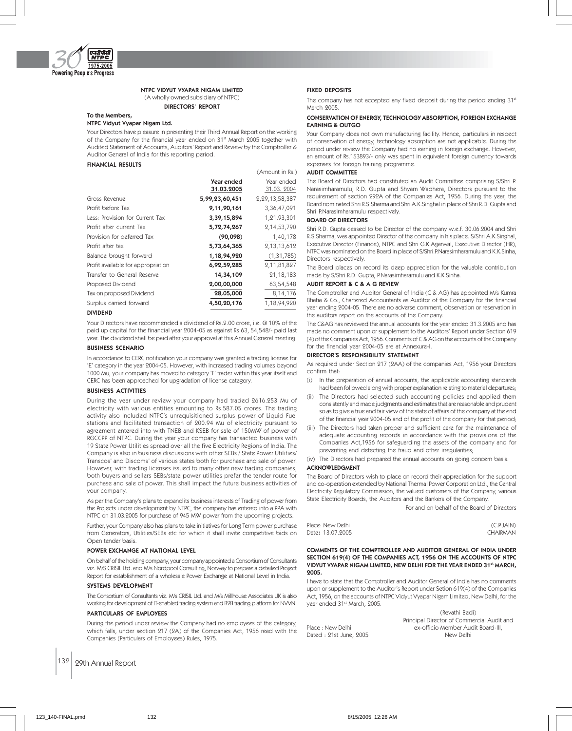

#### NTPC VIDYUT VYAPAR NIGAM LIMITED (A wholly owned subsidiary of NTPC) DIRECTORS' REPORT

# To the Members,

#### NTPC Vidyut Vyapar Nigam Ltd.

Your Directors have pleasure in presenting their Third Annual Report on the working of the Company for the financial year ended on 31st March 2005 together with Audited Statement of Accounts, Auditors' Report and Review by the Comptroller & Auditor General of India for this reporting period.

#### FINANCIAL RESULTS

|                                    |                   | (Amount in Rs.) |
|------------------------------------|-------------------|-----------------|
|                                    | <b>Year ended</b> | Year ended      |
|                                    | 31.03.2005        | 31.03. 2004     |
| Gross Revenue                      | 5,99,23,60,451    | 2,29,13,58,387  |
| Profit before Tax                  | 9,11,90,161       | 3,36,47,091     |
| Less: Provision for Current Tax    | 3,39,15,894       | 1,21,93,301     |
| Profit after current Tax           | 5,72,74,267       | 2,14,53,790     |
| Provision for deferred Tax         | (90,098)          | 1,40,178        |
| Profit after tax                   | 5,73,64,365       | 2,13,13,612     |
| Balance brought forward            | 1,18,94,920       | (1,31,785)      |
| Profit available for appropriation | 6,92,59,285       | 2,11,81,827     |
| Transfer to General Reserve        | 14,34,109         | 21, 18, 183     |
| Proposed Dividend                  | 2,00,00,000       | 63,54,548       |
| Tax on proposed Dividend           | 28,05,000         | 8,14,176        |
| Surplus carried forward            | 4,50,20,176       | 1,18,94,920     |
| <b>DIVIDEND</b>                    |                   |                 |

Your Directors have recommended a dividend of Rs.2.00 crore, i.e. @ 10% of the paid up capital for the financial year 2004-05 as against Rs.63, 54,548/- paid last year. The dividend shall be paid after your approval at this Annual General meeting.

#### BUSINESS SCENARIO

In accordance to CERC notification your company was granted a trading license for 'E' category in the year 2004-05. However, with increased trading volumes beyond 1000 Mu, your company has moved to category 'F' trader within this year itself and CERC has been approached for upgradation of license category.

# BUSINESS ACTIVITIES

During the year under review your company had traded 2616.253 Mu of electricity with various entities amounting to Rs.587.05 crores. The trading activity also included NTPC's unrequisitioned surplus power of Liquid Fuel stations and facilitated transaction of 200.94 Mu of electricity pursuant to agreement entered into with TNEB and KSEB for sale of 150MW of power of RGCCPP of NTPC. During the year your company has transacted business with 19 State Power Utilities spread over all the five Electricity Regions of India. The Company is also in business discussions with other SEBs / State Power Utilities/ Transcos' and Discoms' of various states both for purchase and sale of power. However, with trading licenses issued to many other new trading companies, both buyers and sellers SEBs/state power utilities prefer the tender route for purchase and sale of power. This shall impact the future business activities of your company.

As per the Company's plans to expand its business interests of Trading of power from the Projects under development by NTPC, the company has entered into a PPA with NTPC on 31.03.2005 for purchase of 945 MW power from the upcoming projects.

Further, your Company also has plans to take initiatives for Long Term power purchase from Generators, Utilities/SEBs etc for which it shall invite competitive bids on Open tender basis.

### POWER EXCHANGE AT NATIONAL LEVEL

On behalf of the holding company, your company appointed a Consortium of Consultants viz. M/S CRISIL Ltd. and M/s Nordpool Consulting, Norway to prepare a detailed Project Report for establishment of a wholesale Power Exchange at National Level in India.

#### SYSTEMS DEVELOPMENT

The Consortium of Consultants viz. M/s CRISIL Ltd. and M/s Millhouse Associates UK is also working for development of IT-enabled trading system and B2B trading platform for NVVN.

#### PARTICULARS OF EMPLOYEES

During the period under review the Company had no employees of the category, which falls, under section 217 (2A) of the Companies Act, 1956 read with the Companies (Particulars of Employees) Rules, 1975.

# 132 29th Annual Report

FIXED DEPOSITS

The company has not accepted any fixed deposit during the period ending 31st March 2005.

# CONSERVATION OF ENERGY, TECHNOLOGY ABSORPTION, FOREIGN EXCHANGE EARNING & OUTGO

Your Company does not own manufacturing facility. Hence, particulars in respect of conservation of energy, technology absorption are not applicable. During the period under review the Company had no earning in foreign exchange. However, an amount of Rs.153893/- only was spent in equivalent foreign currency towards expenses for foreign training programme.

# AUDIT COMMITTEE

The Board of Directors had constituted an Audit Committee comprising S/Shri P. Narasimharamulu, R.D. Gupta and Shyam Wadhera, Directors pursuant to the requirement of section 292A of the Companies Act, 1956. During the year, the Board nominated Shri R.S.Sharma and Shri A.K.Singhal in place of Shri R.D. Gupta and Shri P.Narasimharamulu respectively.

#### BOARD OF DIRECTORS

Shri R.D. Gupta ceased to be Director of the company w.e.f. 30.06.2004 and Shri R.S.Sharma, was appointed Director of the company in his place. S/Shri A.K.Singhal, Executive Director (Finance), NTPC and Shri G.K.Agarwal, Executive Director (HR), NTPC was nominated on the Board in place of S/Shri.P.Narasimharamulu and K.K.Sinha, Directors respectively.

The Board places on record its deep appreciation for the valuable contribution made by S/Shri R.D. Gupta, P.Narasimharamulu and K.K.Sinha.

# AUDIT REPORT & C & A G REVIEW

The Comptroller and Auditor General of India (C & AG) has appointed M/s Kumra Bhatia & Co., Chartered Accountants as Auditor of the Company for the financial year ending 2004-05. There are no adverse comment, observation or reservation in the auditors report on the accounts of the Company.

The C&AG has reviewed the annual accounts for the year ended 31.3.2005 and has made no comment upon or supplement to the Auditors' Report under Section 619 (4) of the Companies Act, 1956. Comments of C & AG on the accounts of the Company for the financial year 2004-05 are at Annexure-I.

# DIRECTOR'S RESPONSIBILITY STATEMENT

As required under Section 217 (2AA) of the companies Act, 1956 your Directors confirm that:

- (i) In the preparation of annual accounts, the applicable accounting standards had been followed along with proper explanation relating to material departures;
- (ii) The Directors had selected such accounting policies and applied them consistently and made judgments and estimates that are reasonable and prudent so as to give a true and fair view of the state of affairs of the company at the end of the financial year 2004-05 and of the profit of the company for that period;
- (iii) The Directors had taken proper and sufficient care for the maintenance of adequate accounting records in accordance with the provisions of the Companies Act,1956 for safeguarding the assets of the company and for preventing and detecting the fraud and other irregularities;

(iv) The Directors had prepared the annual accounts on going concern basis.

#### ACKNOWLEDGMENT

The Board of Directors wish to place on record their appreciation for the support and co-operation extended by National Thermal Power Corporation Ltd., the Central Electricity Regulatory Commission, the valued customers of the Company, various State Electricity Boards, the Auditors and the Bankers of the Company.

For and on behalf of the Board of Directors

(Revathi Bedi)

| Place: New Delhi | (C.P.JAIN)      |
|------------------|-----------------|
| Date: 13.07.2005 | <b>CHAIRMAN</b> |

#### COMMENTS OF THE COMPTROLLER AND AUDITOR GENERAL OF INDIA UNDER SECTION 619(4) OF THE COMPANIES ACT, 1956 ON THE ACCOUNTS OF NTPC VIDYUT VYAPAR NIGAM LIMITED, NEW DELHI FOR THE YEAR ENDED 31st MARCH, 2005.

I have to state that the Comptroller and Auditor General of India has no comments upon or supplement to the Auditor's Report under Setion 619(4) of the Companies Act, 1956, on the accounts of NTPC Vidyut Vyapar Nigam Limited, New Delhi, for the year ended 31st March, 2005.

|                        | Principal Director of Commercial Audit and |
|------------------------|--------------------------------------------|
| Place : New Delhi      | ex-officio Member Audit Board-III,         |
| Dated: 21st June, 2005 | New Delhi                                  |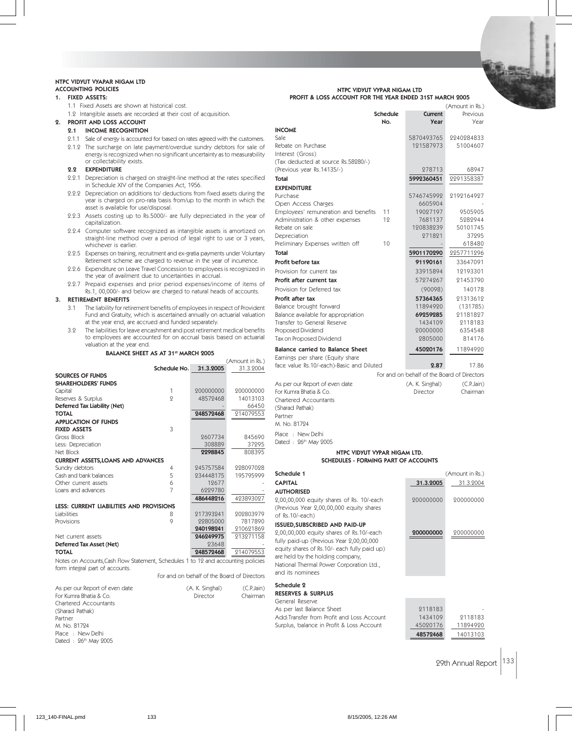#### NTPC VIDYUT VYAPAR NIGAM LTD ACCOUNTING POLICIES

# 1. FIXED ASSETS:

- 1.1 Fixed Assets are shown at historical cost.
	- 1.2 Intangible assets are recorded at their cost of acquisition.

2. PROFIT AND LOSS ACCOUNT

# 2.1 INCOME RECOGNITION

- 2.1.1 Sale of energy is accounted for based on rates agreed with the customers.
- 2.1.2 The surcharge on late payment/overdue sundry debtors for sale of
- energy is recognized when no significant uncertainty as to measurability or collectability exists. 2.2 EXPENDITURE
- 
- 2.2.1 Depreciation is charged on straight-line method at the rates specified in Schedule XIV of the Companies Act, 1956.
- 2.2.2 Depreciation on additions to/ deductions from fixed assets during the year is charged on pro-rata basis from/up to the month in which the asset is available for use/disposal.
- 2.2.3 Assets costing up to Rs.5000/- are fully depreciated in the year of capitalization.
- 2.2.4 Computer software recognized as intangible assets is amortized on straight-line method over a period of legal right to use or 3 years, whichever is earlier.
- 2.2.5 Expenses on training, recruitment and ex-gratia payments under Voluntary Retirement scheme are charged to revenue in the year of incurrence.
- 2.2.6 Expenditure on Leave Travel Concession to employees is recognized in the year of availment due to uncertainties in accrual.
- 2.2.7 Prepaid expenses and prior period expenses/income of items of Rs.1, 00,000/- and below are charged to natural heads of accounts.

# 3. RETIREMENT BENEFITS

- 3.1 The liability for retirement benefits of employees in respect of Provident Fund and Gratuity, which is ascertained annually on actuarial valuation at the year end, are accrued and funded separately.
- 3.2 The liabilities for leave encashment and post retirement medical benefits to employees are accounted for on accrual basis based on actuarial valuation at the year end.

BALANCE SHEET AS AT 31<sup>st</sup> MARCH 2005

|                                                                                                                      |              |           | (Amount in Rs.) |
|----------------------------------------------------------------------------------------------------------------------|--------------|-----------|-----------------|
|                                                                                                                      | Schedule No. | 31.3.2005 | 31.3.2004       |
| <b>SOURCES OF FUNDS</b>                                                                                              |              |           |                 |
| <b>SHAREHOLDERS' FUNDS</b>                                                                                           |              |           |                 |
| Capital                                                                                                              | 1            | 200000000 | 200000000       |
| Reserves & Surplus                                                                                                   | 9            | 48572468  | 14013103        |
| Deferred Tax Liability (Net)                                                                                         |              |           | 66450           |
| <b>TOTAL</b>                                                                                                         |              | 248572468 | 214079553       |
| <b>APPLICATION OF FUNDS</b>                                                                                          |              |           |                 |
| <b>FIXED ASSETS</b>                                                                                                  | 3            |           |                 |
| Gross Block                                                                                                          |              | 2607734   | 845690          |
| Less: Depreciation                                                                                                   |              | 308889    | 37295           |
| Net Block                                                                                                            |              | 2298845   | 808395          |
| <b>CURRENT ASSETS, LOANS AND ADVANCES</b>                                                                            |              |           |                 |
| Sundry debtors                                                                                                       | 4            | 945757584 | 228097028       |
| Cash and bank balances                                                                                               | 5            | 934448175 | 195795999       |
| Other current assets                                                                                                 | 6            | 12677     |                 |
| Loans and advances                                                                                                   | 7            | 6229780   |                 |
|                                                                                                                      |              | 486448216 | 423893027       |
| LESS: CURRENT LIABILITIES AND PROVISIONS                                                                             |              |           |                 |
| Liabilities                                                                                                          | 8            | 917393941 | 202803979       |
| Provisions                                                                                                           | 9            | 99805000  | 7817890         |
|                                                                                                                      |              | 240198241 | 210621869       |
| Net current assets                                                                                                   |              | 246249975 | 213271158       |
| Deferred Tax Asset (Net)                                                                                             |              | 93648     |                 |
| <b>TOTAL</b>                                                                                                         |              | 248572468 | 214079553       |
| Notes on Accounts, Cash Flow Statement, Schedules 1 to 12 and accounting policies<br>form integral part of accounts. |              |           |                 |

For and on behalf of the Board of Directors

of

and Sch

| As per our Report of even date | (A. K. Singhal) | (C.P.Jain) |
|--------------------------------|-----------------|------------|
| For Kumra Bhatia & Co.         | Director        | Chairman   |
| Chartered Accountants          |                 |            |
| (Sharad Pathak)                |                 |            |
| Partner                        |                 |            |
| M. No. 81794                   |                 |            |
| Place: New Delhi               |                 |            |
| Dated : 26th May 2005          |                 |            |

| NTPC VIDYUT VYPAR NIGAM LTD<br>PROFIT & LOSS ACCOUNT FOR THE YEAR ENDED 31ST MARCH 2005 |          |             |                 |
|-----------------------------------------------------------------------------------------|----------|-------------|-----------------|
|                                                                                         |          |             | (Amount in Rs.) |
|                                                                                         | Schedule | Current     | Previous        |
|                                                                                         | No.      | <b>Year</b> | Year            |
| <b>INCOME</b>                                                                           |          |             |                 |
| Sale.                                                                                   |          | 5870493765  | 2240284833      |
| Rebate on Purchase                                                                      |          | 121587973   | 51004607        |
| Interest (Gross)                                                                        |          |             |                 |
| (Tax deducted at source Rs.58280/-)                                                     |          |             |                 |
| (Previous year Rs.14135/-)                                                              |          | 278713      | 68947           |
| Total                                                                                   |          | 5992360451  | 2291358387      |
| <b>EXPENDITURE</b>                                                                      |          |             |                 |
| Purchase                                                                                |          | 5746745999  | 9199164997      |
| Open Access Charges                                                                     |          | 6605904     |                 |
| Employees' remuneration and benefits                                                    | 11       | 19097197    | 9505905         |
| Administration & other expenses                                                         | 12       | 7681137     | 5282944         |
| Rebate on sale                                                                          |          | 120838239   | 50101745        |
| Depreciation                                                                            |          | 271821      | 37295           |
| Preliminary Expenses written off                                                        | 10       |             | 618480          |
| Total                                                                                   |          | 5901170290  | 2257711296      |
| Profit before tax                                                                       |          | 91190161    | 33647091        |
| Provision for current tax                                                               |          | 33915894    | 12193301        |
| Profit after current tax                                                                |          | 57974967    | 21453790        |
| Provision for Deferred tax                                                              |          | (90098)     | 140178          |

| Profit after current tax                                                                                                                                                                                     | 57974967                                                           | 91453790                                                         |
|--------------------------------------------------------------------------------------------------------------------------------------------------------------------------------------------------------------|--------------------------------------------------------------------|------------------------------------------------------------------|
| Provision for Deferred tax                                                                                                                                                                                   | (90098)                                                            | 140178                                                           |
| Profit after tax<br>Balance brought forward<br>Balance available for appropriation<br>Transfer to General Reserve<br>Proposed Dividend<br>Tax on Proposed Dividend                                           | 57364365<br>11894990<br>69259285<br>1434109<br>20000000<br>2805000 | 91313619<br>(131785)<br>91181897<br>2118183<br>6354548<br>814176 |
| Balance carried to Balance Sheet<br>Earnings per share (Equity share<br>face value Rs.10/-each)-Basic and Diluted                                                                                            | 45020176<br>2.87                                                   | 11894990<br>17.86                                                |
|                                                                                                                                                                                                              | For and on behalf of the Board of Directors                        |                                                                  |
| As per our Report of even date<br>For Kumra Bhatia & Co.<br>Chartered Accountants<br>(Sharad Pathak)<br>Partner<br>M. No. 81794<br>Place : New Delhi<br>Dated: 26th May 2005<br>NTPC VIDYUT VYPAR NIGAM LTD. | (A. K. Singhal)<br>Director                                        | (C.P.Jain)<br>Chairman                                           |
| <b>SCHEDULES - FORMING PART OF ACCOUNTS</b>                                                                                                                                                                  |                                                                    |                                                                  |
| Schedule 1                                                                                                                                                                                                   |                                                                    | (Amount in Rs.)                                                  |
| <b>CAPITAL</b>                                                                                                                                                                                               | 31.3.2005                                                          | 31.3.2004                                                        |

| <b>AUTHORISED</b>                            |           |           |
|----------------------------------------------|-----------|-----------|
| 2,00,00,000 equity shares of Rs. 10/-each    | 200000000 | 200000000 |
| (Previous Year 2,00,00,000 equity shares     |           |           |
| of Rs.10/-each)                              |           |           |
| <b>ISSUED, SUBSCRIBED AND PAID-UP</b>        |           |           |
| 2,00,00,000 equity shares of Rs.10/-each     | 200000000 | 200000000 |
| fully paid-up (Previous Year 2,00,00,000     |           |           |
| equity shares of Rs.10/- each fully paid up) |           |           |
| are held by the holding company,             |           |           |
| National Thermal Power Corporation Ltd.,     |           |           |
| and its nominees                             |           |           |
| Schedule 2                                   |           |           |
| <b>RESERVES &amp; SURPLUS</b>                |           |           |
| General Reserve                              |           |           |
| As per last Balance Sheet                    | 2118183   |           |
| Add:Transfer from Profit and Loss Account    | 1434109   | 9118183   |
| Surplus, balance in Profit & Loss Account    | 45020176  | 11894920  |
|                                              | 48572468  | 14013103  |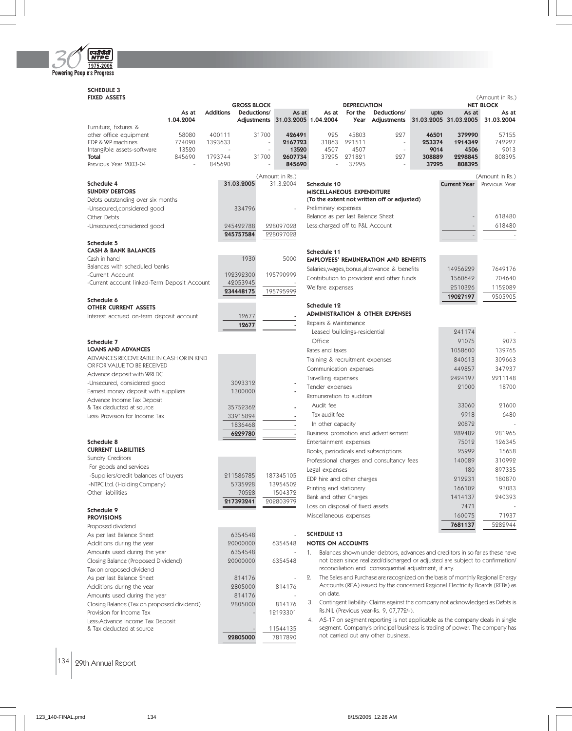

# SCHEDULE 3

| <b>FIXED ASSETS</b>                                              |                   | <b>GROSS BLOCK</b>  |                                  |                                        | <b>DEPRECIATION</b> |                                                                                                                                     |                 |                       | (Amount in Rs.)<br><b>NET BLOCK</b> |
|------------------------------------------------------------------|-------------------|---------------------|----------------------------------|----------------------------------------|---------------------|-------------------------------------------------------------------------------------------------------------------------------------|-----------------|-----------------------|-------------------------------------|
| As at                                                            | <b>Additions</b>  | Deductions/         | As at                            | As at                                  | For the             | Deductions/                                                                                                                         | upto            | As at                 | As at                               |
| 1.04.2004                                                        |                   |                     | Adjustments 31.03.2005 1.04.2004 |                                        | Year                | Adjustments                                                                                                                         |                 | 31.03.2005 31.03.2005 | 31.03.2004                          |
| Furniture, fixtures &                                            |                   |                     |                                  |                                        |                     |                                                                                                                                     |                 |                       |                                     |
| other office equipment<br>58080<br>EDP & WP machines<br>774090   | 400111<br>1393633 | 31700               | 426491<br>2167723                | 925<br>31863                           | 45803<br>221511     | 227<br>$\overline{\phantom{a}}$                                                                                                     | 46501<br>253374 | 379990<br>1914349     | 57155<br>742227                     |
| Intangible assets-software<br>13520                              |                   |                     | 13520                            | 4507                                   | 4507                | $\overline{a}$                                                                                                                      | 9014            | 4506                  | 9013                                |
| 845690<br>Total                                                  | 1793744           | 31700               | 2607734                          | 37295                                  | 271821              | 227                                                                                                                                 | 308889          | 2298845               | 808395                              |
| Previous Year 2003-04                                            | 845690            |                     | 845690                           |                                        | 37295               |                                                                                                                                     | 37295           | 808395                |                                     |
|                                                                  |                   |                     | (Amount in Rs.)                  |                                        |                     |                                                                                                                                     |                 |                       | (Amount in Rs.)                     |
| Schedule 4                                                       |                   | 31.03.2005          | 31.3.2004                        | Schedule 10                            |                     |                                                                                                                                     |                 | <b>Current Year</b>   | Previous Year                       |
| <b>SUNDRY DEBTORS</b>                                            |                   |                     |                                  | <b>MISCELLANEOUS EXPENDITURE</b>       |                     | (To the extent not written off or adjusted)                                                                                         |                 |                       |                                     |
| Debts outstanding over six months<br>-Unsecured, considered good |                   | 334796              |                                  | Preliminary expenses                   |                     |                                                                                                                                     |                 |                       |                                     |
| Other Debts                                                      |                   |                     |                                  | Balance as per last Balance Sheet      |                     |                                                                                                                                     |                 |                       | 618480                              |
| -Unsecured, considered good                                      |                   | 245422788           | 228097028                        | Less:charged off to P&L Account        |                     |                                                                                                                                     |                 |                       | 618480                              |
|                                                                  |                   | 245757584           | 228097028                        |                                        |                     |                                                                                                                                     |                 |                       |                                     |
| Schedule 5                                                       |                   |                     |                                  |                                        |                     |                                                                                                                                     |                 |                       |                                     |
| <b>CASH &amp; BANK BALANCES</b>                                  |                   |                     |                                  | Schedule 11                            |                     |                                                                                                                                     |                 |                       |                                     |
| Cash in hand                                                     |                   | 1930                | 5000                             |                                        |                     | <b>EMPLOYEES' REMUNERATION AND BENEFITS</b>                                                                                         |                 |                       |                                     |
| Balances with scheduled banks<br>-Current Account                |                   | 192392300           | 195790999                        |                                        |                     | Salaries, wages, bonus, allowance & benefits                                                                                        |                 | 14956229              | 7649176                             |
| -Current account linked-Term Deposit Account                     |                   | 42053945            |                                  |                                        |                     | Contribution to provident and other funds                                                                                           |                 | 1560642               | 704640                              |
|                                                                  |                   | 234448175           | 195795999                        | Welfare expenses                       |                     |                                                                                                                                     |                 | 2510326               | 1152089                             |
| Schedule 6                                                       |                   |                     |                                  |                                        |                     |                                                                                                                                     |                 | 19027197              | 9505905                             |
| <b>OTHER CURRENT ASSETS</b>                                      |                   |                     |                                  | Schedule 12                            |                     |                                                                                                                                     |                 |                       |                                     |
| Interest accrued on-term deposit account                         |                   | 12677               |                                  |                                        |                     | <b>ADMINISTRATION &amp; OTHER EXPENSES</b>                                                                                          |                 |                       |                                     |
|                                                                  |                   | 12677               |                                  | Repairs & Maintenance                  |                     |                                                                                                                                     |                 |                       |                                     |
|                                                                  |                   |                     |                                  | Leased buildings-residential<br>Office |                     |                                                                                                                                     |                 | 241174                |                                     |
| Schedule 7<br><b>LOANS AND ADVANCES</b>                          |                   |                     |                                  |                                        |                     |                                                                                                                                     |                 | 91075                 | 9073                                |
| ADVANCES RECOVERABLE IN CASH OR IN KIND                          |                   |                     |                                  | Rates and taxes                        |                     |                                                                                                                                     |                 | 1058600<br>840613     | 139765<br>309663                    |
| OR FOR VALUE TO BE RECEIVED                                      |                   |                     |                                  | Training & recruitment expenses        |                     |                                                                                                                                     |                 | 449857                | 347937                              |
| Advance deposit with WRLDC                                       |                   |                     |                                  | Communication expenses                 |                     |                                                                                                                                     |                 | 2424197               | 2211148                             |
| -Unsecured, considered good                                      |                   | 3093312             |                                  | Travelling expenses<br>Tender expenses |                     |                                                                                                                                     |                 | 21000                 | 18700                               |
| Earnest money deposit with suppliers                             |                   | 1300000             |                                  | Remuneration to auditors               |                     |                                                                                                                                     |                 |                       |                                     |
| Advance Income Tax Deposit                                       |                   |                     |                                  | Audit fee                              |                     |                                                                                                                                     |                 | 33060                 | 21600                               |
| & Tax deducted at source<br>Less: Provision for Income Tax       |                   | 35752362            |                                  | Tax audit fee                          |                     |                                                                                                                                     |                 | 9918                  | 6480                                |
|                                                                  |                   | 33915894<br>1836468 |                                  | In other capacity                      |                     |                                                                                                                                     |                 | 20872                 |                                     |
|                                                                  |                   | 6229780             |                                  |                                        |                     | Business promotion and advertisement                                                                                                |                 | 289482                | 281965                              |
| Schedule 8                                                       |                   |                     |                                  | Entertainment expenses                 |                     |                                                                                                                                     |                 | 75012                 | 126345                              |
| <b>CURRENT LIABILITIES</b>                                       |                   |                     |                                  |                                        |                     | Books, periodicals and subscriptions                                                                                                |                 | 25992                 | 15658                               |
| Sundry Creditors                                                 |                   |                     |                                  |                                        |                     | Professional charges and consultancy fees                                                                                           |                 | 140089                | 310992                              |
| For goods and services                                           |                   |                     |                                  | Legal expenses                         |                     |                                                                                                                                     |                 | 180                   | 897335                              |
| -Suppliers/credit balances of buyers                             |                   | 211586785           | 187345105                        | EDP hire and other charges             |                     |                                                                                                                                     |                 | 212231                | 180870                              |
| -NTPC Ltd. (Holding Company)<br>Other liabilities                |                   | 5735928<br>70528    | 13954502                         | Printing and stationery                |                     |                                                                                                                                     |                 | 166102                | 93083                               |
|                                                                  |                   | 217393241           | 1504372<br>202803979             | Bank and other Charges                 |                     |                                                                                                                                     |                 | 1414137               | 240393                              |
| Schedule 9                                                       |                   |                     |                                  | Loss on disposal of fixed assets       |                     |                                                                                                                                     |                 | 7471                  |                                     |
| <b>PROVISIONS</b>                                                |                   |                     |                                  | Miscellaneous expenses                 |                     |                                                                                                                                     |                 | 160075                | 71937                               |
| Proposed dividend                                                |                   |                     |                                  |                                        |                     |                                                                                                                                     |                 | 7681137               | 5282944                             |
| As per last Balance Sheet                                        |                   | 6354548             |                                  | <b>SCHEDULE 13</b>                     |                     |                                                                                                                                     |                 |                       |                                     |
| Additions during the year                                        |                   | 20000000            | 6354548                          | <b>NOTES ON ACCOUNTS</b>               |                     |                                                                                                                                     |                 |                       |                                     |
| Amounts used during the year                                     |                   | 6354548             | ÷                                | 1.                                     |                     | Balances shown under debtors, advances and creditors in so far as these have                                                        |                 |                       |                                     |
| Closing Balance (Proposed Dividend)                              |                   | 20000000            | 6354548                          |                                        |                     | not been since realized/discharged or adjusted are subject to confirmation/<br>reconciliation and consequential adjustment, if any. |                 |                       |                                     |
| Tax on proposed dividend                                         |                   |                     | $\overline{a}$                   | 2.                                     |                     | The Sales and Purchase are recognized on the basis of monthly Regional Energy                                                       |                 |                       |                                     |
| As per last Balance Sheet<br>Additions during the year           |                   | 814176<br>2805000   | 814176                           |                                        |                     | Accounts (REA) issued by the concerned Regional Electricity Boards (REBs) as                                                        |                 |                       |                                     |
| Amounts used during the year                                     |                   | 814176              |                                  | on date.                               |                     |                                                                                                                                     |                 |                       |                                     |
| Closing Balance (Tax on proposed dividend)                       |                   | 2805000             | 814176                           | 3.                                     |                     | Contingent liability: Claims against the company not acknowledged as Debts is                                                       |                 |                       |                                     |
| Provision for Income Tax                                         |                   |                     | 12193301                         |                                        |                     | Rs.NIL (Previous year-Rs. 9, 07,772/-).                                                                                             |                 |                       |                                     |
| Less: Advance Income Tax Deposit                                 |                   |                     |                                  |                                        |                     | 4. AS-17 on segment reporting is not applicable as the company deals in single                                                      |                 |                       |                                     |
| & Tax deducted at source                                         |                   |                     | 11544135                         |                                        |                     | segment. Company's principal business is trading of power. The company has                                                          |                 |                       |                                     |
|                                                                  |                   | 22805000            | 7817890                          |                                        |                     | not carried out any other business.                                                                                                 |                 |                       |                                     |

 $\left| 134 \right|$  29th Annual Report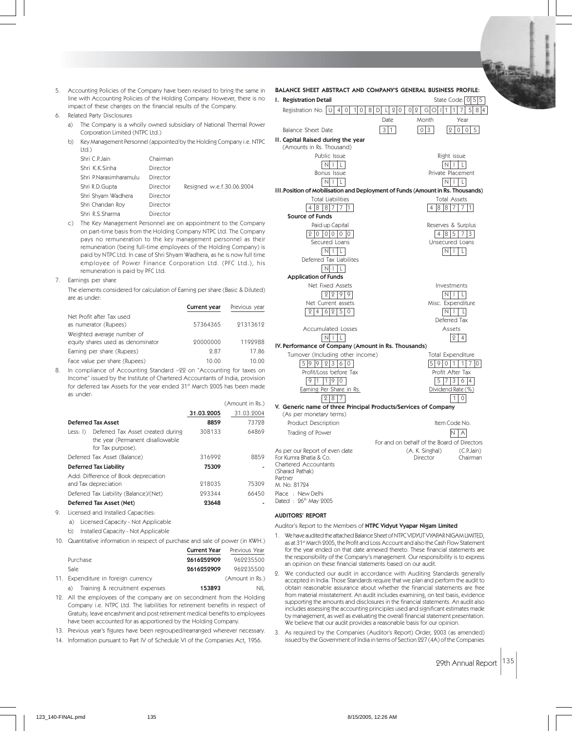- 5. Accounting Policies of the Company have been revised to bring the same in line with Accounting Policies of the Holding Company. However, there is no impact of these changes on the financial results of the Company.
- 6. Related Party Disclosures
	- a) The Company is a wholly owned subsidiary of National Thermal Power Corporation Limited (NTPC Ltd.)
	- b) Key Management Personnel (appointed by the Holding Company i.e. NTPC Ltd.)

| Shri C.P.Jain          | Chairman |                           |
|------------------------|----------|---------------------------|
| Shri K.K.Sinha         | Director |                           |
| Shri P.Narasimharamulu | Director |                           |
| Shri R.D.Gupta         | Director | Resigned w.e.f.30.06.2004 |
| Shri Shyam Wadhera     | Director |                           |
| Shri Chandan Roy       | Director |                           |
| Shri R.S.Sharma        | Director |                           |
|                        |          |                           |

- c) The Key Management Personnel are on appointment to the Company on part-time basis from the Holding Company NTPC Ltd. The Company pays no remuneration to the key management personnel as their remuneration (being full-time employees of the Holding Company) is paid by NTPC Ltd. In case of Shri Shyam Wadhera, as he is now full time employee of Power Finance Corporation Ltd. (PFC Ltd.), his remuneration is paid by PFC Ltd.
- 7. Earnings per share

The elements considered for calculation of Earning per share (Basic & Diluted) are as under:

|                                                                 | Current year | Previous year |
|-----------------------------------------------------------------|--------------|---------------|
| Net Profit after Tax used<br>as numerator (Rupees)              | 57364365     | 21313612      |
| Weighted average number of<br>equity shares used as denominator | 20000000     | 1192988       |
| Earning per share (Rupees)                                      | 987          | 17.86         |
| Face value per share (Rupees)                                   | 10.00        | 10.00         |

8. In compliance of Accounting Standard –22 on "Accounting for taxes on Income" issued by the Institute of Chartered Accountants of India, provision for deferred tax Assets for the year ended 31st March 2005 has been made as under:

| 31.03.2004<br>31.03.2005<br>8859<br>73728<br><b>Deferred Tax Asset</b><br>64869<br>Less: I) Deferred Tax Asset created during<br>308133<br>the year (Permanent disallowable<br>for Tax purpose).<br>316992<br>Deferred Tax Asset (Balance)<br>8859<br>75309<br><b>Deferred Tax Liability</b><br>Add: Difference of Book depreciation<br>218035<br>and Tax depreciation<br>75309<br>66450<br>Deferred Tax Liability (Balance)/(Net)<br>293344<br>23648<br>Deferred Tax Asset (Net)<br>Licensed and Installed Capacities:<br>Licensed Capacity - Not Applicable<br>a)<br>b)<br>Installed Capacity - Not Applicable<br>Quantitative information in respect of purchase and sale of power (in KWH.)<br>Current Year<br>Previous Year |     |  | (Amount in Rs.) |
|----------------------------------------------------------------------------------------------------------------------------------------------------------------------------------------------------------------------------------------------------------------------------------------------------------------------------------------------------------------------------------------------------------------------------------------------------------------------------------------------------------------------------------------------------------------------------------------------------------------------------------------------------------------------------------------------------------------------------------|-----|--|-----------------|
|                                                                                                                                                                                                                                                                                                                                                                                                                                                                                                                                                                                                                                                                                                                                  |     |  |                 |
|                                                                                                                                                                                                                                                                                                                                                                                                                                                                                                                                                                                                                                                                                                                                  |     |  |                 |
|                                                                                                                                                                                                                                                                                                                                                                                                                                                                                                                                                                                                                                                                                                                                  |     |  |                 |
|                                                                                                                                                                                                                                                                                                                                                                                                                                                                                                                                                                                                                                                                                                                                  |     |  |                 |
|                                                                                                                                                                                                                                                                                                                                                                                                                                                                                                                                                                                                                                                                                                                                  |     |  |                 |
|                                                                                                                                                                                                                                                                                                                                                                                                                                                                                                                                                                                                                                                                                                                                  |     |  |                 |
|                                                                                                                                                                                                                                                                                                                                                                                                                                                                                                                                                                                                                                                                                                                                  |     |  |                 |
|                                                                                                                                                                                                                                                                                                                                                                                                                                                                                                                                                                                                                                                                                                                                  |     |  |                 |
|                                                                                                                                                                                                                                                                                                                                                                                                                                                                                                                                                                                                                                                                                                                                  |     |  |                 |
|                                                                                                                                                                                                                                                                                                                                                                                                                                                                                                                                                                                                                                                                                                                                  | 9.  |  |                 |
|                                                                                                                                                                                                                                                                                                                                                                                                                                                                                                                                                                                                                                                                                                                                  |     |  |                 |
|                                                                                                                                                                                                                                                                                                                                                                                                                                                                                                                                                                                                                                                                                                                                  |     |  |                 |
|                                                                                                                                                                                                                                                                                                                                                                                                                                                                                                                                                                                                                                                                                                                                  | 10. |  |                 |
|                                                                                                                                                                                                                                                                                                                                                                                                                                                                                                                                                                                                                                                                                                                                  |     |  |                 |

| <b>Purchase</b>                       | 2616252909 | 969935500       |
|---------------------------------------|------------|-----------------|
| Sale.                                 | 2616252909 | 969935500       |
| 11. Expenditure in foreign currency   |            | (Amount in Rs.) |
| Training & recruitment expenses<br>a) | 153893     | <b>NIL</b>      |

- 12. All the employees of the company are on secondment from the Holding Company i.e. NTPC Ltd. The liabilities for retirement benefits in respect of Gratuity, leave encashment and post retirement medical benefits to employees have been accounted for as apportioned by the Holding Company.
- 13. Previous year's figures have been regrouped/rearranged wherever necessary.
- 14. Information pursuant to Part IV of Schedule VI of the Companies Act, 1956.

# BALANCE SHEET ABSTRACT AND COMPANY'S GENERAL BUSINESS PROFILE: **I. Registration Detail**  $\qquad \qquad$  State Code: 0 5 5 Registration No.  $\boxed{U}$  4 0 1 0 8 D L 2 0 0 2 G O 1 1 1 7 5 8 4 Date Month Year Balance Sheet Date  $31$  0 3 2 0 0 5 II. Capital Raised during the year (Amounts in Rs. Thousand) Public Issue **Right issue** Right issue NIL NIL Bonus Issue **Private Placement**  $N \mid L$ III.Position of Mobilisation and Deployment of Funds (Amount in Rs. Thousands) Total Liabilities Total Assets 4 8 8 7 7 1 Source of Funds Paid up Capital **Reserves & Surplus** Reserves & Surplus 2 0 00 0 0 4 8 5 7 3 Secured Loans Unsecured Loans  $\boxed{\text{N} \mid \text{L}}$ Deferred Tax Liabilites  $N$   $|$   $|$   $|$   $|$ Application of Funds Net Fixed Assets **Investments**  $\boxed{2|2|9|9}$ Net Current assets Misc. Expenditure  $246250$  N I L Deferred Tax Accumulated Losses **Assets**  $N \mid L$  2 4 IV.Performance of Company (Amount in Rs. Thousands) Turnover (Including other income) Total Expenditure<br>  $\begin{array}{|c|c|c|c|c|}\hline 5 & 9 & 9 & 2 & 3 & 6 & 0 \\ \hline \end{array}$  $59011170$ Profit/Loss before Tax Profit After Tax 9 1 19 0 5 7 3 6 4 Earning Per Share in Rs. **Earning Per Share in Rs.** Dividend Rate  $2.8 \mid 7$  1 0 V. Generic name of three Principal Products/Services of Company (As per monetary terms) Product Description and The Item Code No. Trading of Power N A A For and on behalf of the Board of Directors As per our Report of even date (A. K. Singhal) (C.P.Jain) For Kumra Bhatia & Co. Chartered Accountants (Sharad Pathak) Partner M. No. 81724 Place : New Delhi Dated : 26th May 2005

### AUDITORS' REPORT

Auditor's Report to the Members of NTPC Vidyut Vyapar Nigam Limited

- 1. We have audited the attached Balance Sheet of NTPC VIDYUT VYAPAR NIGAM LIMITED, as at 31<sup>st</sup> March 2005, the Profit and Loss Account and also the Cash Flow Statement for the year ended on that date annexed thereto. These financial statements are the responsibility of the Company's management. Our responsibility is to express an opinion on these financial statements based on our audit.
- 2. We conducted our audit in accordance with Auditing Standards generally accepted in India. Those Standards require that we plan and perform the audit to obtain reasonable assurance about whether the financial statements are free from material misstatement. An audit includes examining, on test basis, evidence supporting the amounts and disclosures in the financial statements. An audit also includes assessing the accounting principles used and significant estimates made by management, as well as evaluating the overall financial statement presentation. We believe that our audit provides a reasonable basis for our opinion.
- 3. As required by the Companies (Auditor's Report) Order, 2003 (as amended) issued by the Government of India in terms of Section 227 (4A) of the Companies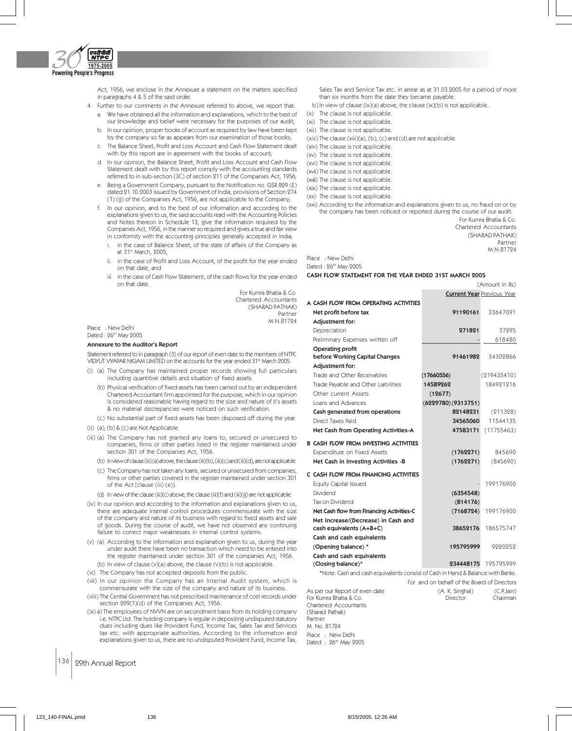

Act, 1956, we enclose in the Annexure a statement on the matters specified in paragraphs 4 & 5 of the said order.

- 4. Further to our comments in the Annexure referred to above, we report that: a. We have obtained all the information and explanations, which to the best of
	- our knowledge and belief were necessary for the purposes of our audit; b. In our opinion, proper books of account as required by law have been kept
	- by the company so far as appears from our examination of those books; c. The Balance Sheet, Profit and Loss Account and Cash Flow Statement dealt
	- with by this report are in agreement with the books of account;
	- d. In our opinion, the Balance Sheet, Profit and Loss Account and Cash Flow Statement dealt with by this report comply with the accounting standards referred to in sub-section (3C) of section 211 of the Companies Act, 1956;
	- e. Being a Government Company, pursuant to the Notification no. GSR 829 (E) dated 21.10.2003 issued by Government of India, provisions of Section 274 (1) (g) of the Companies Act, 1956, are not applicable to the Company;
	- f. In our opinion, and to the best of our information and according to the explanations given to us, the said accounts read with the Accounting Policies and Notes thereon in Schedule 13, give the information required by the Companies Act, 1956, in the manner so required and gives a true and fair view in conformity with the accounting principles generally accepted in India;
		- i. in the case of Balance Sheet, of the state of affairs of the Company as at 31st March, 2005,
		- in the case of Profit and Loss Account, of the profit for the year ended on that date, and
		- iii. in the case of Cash Flow Statement, of the cash flows for the year ended on that date.

For Kumra Bhatia & Co. Chartered Accountants (SHARAD PATHAK) Partner M.N.81724

Place : New Delhi Dated : 26th May 2005

#### Annexure to the Auditor's Report

Statement referred to in paragraph (3) of our report of even date to the members of NTPC VIDYUT VYAPAR NIGAM LIMITED on the accounts for the year ended 31st March 2005.

- (i) (a) The Company has maintained proper records showing full particulars including quantitive details and situation of fixed assets.
	- (b) Physical verification of fixed assets has been carried out by an independent Chartered Accountant firm appointed for the purpose, which in our opinion is considered reasonable having regard to the size and nature of it's assets & no material discrepancies were noticed on such verification.
	- (c) No substantial part of fixed assets has been disposed off during the year.
- (ii) (a), (b) & (c) are Not Applicable.
- (iii) (a) The Company has not granted any loans to, secured or unsecured to companies, firms or other parties listed in the register maintained under section 301 of the Companies Act, 1956.
	- (b) In view of clause (iii) (a) above, the clause (iii)(b), (iii)(c) and (iii)(d), are not applicable.
	- (c) The Company has not taken any loans, secured or unsecured from companies, firms or other parties covered in the register maintained under section 301 of the Act [clause (iii) (e)].
	- (d) In view of the clause (iii)(c) above, the clause (iii)(f) and (iii)(g) are not applicable.
- (iv) In our opinion and according to the information and explanations given to us, there are adequate internal control procedures commensurate with the size of the company and nature of its business with regard to fixed assets and sale of goods. During the course of audit, we have not observed any continuing failure to correct major weaknesses in internal control systems.
- (v) (a) According to the information and explanation given to us, during the year under audit there have been no transaction which need to be entered into the register maintained under section 301 of the companies Act, 1956. (b) In view of clause (v)(a) above, the clause (v)(b) is not applicable.
- (vi) The Company has not accepted deposits from the public.
- (vii) In our opinion the Company has an Internal Audit system, which is
- commensurate with the size of the company and nature of its business. (viii) The Central Government has not prescribed maintenance of cost records under
- section 209(1)(d) of the Companies Act, 1956. (ix) a) The employees of NVVN are on secondment basis from its holding company i.e. NTPC Ltd. The holding company is regular in depositing undisputed statutory
- dues including dues like Provident Fund, Income Tax, Sales Tax and Services tax etc. with appropriate authorities. According to the information and explanations given to us, there are no undisputed Provident Fund, Income Tax,
- 136 29th Annual Report

Sales Tax and Service Tax etc. in arrear as at 31.03.2005 for a period of more than six months from the date they became payable.

- b) In view of clause (ix)(a) above, the clause (ix)(b) is not applicable.
- (x) The clause is not applicable.
- (xi) The clause is not applicable.
- (xii) The clause is not applicable.
- (xiii) The clause (xiii)(a), (b), (c) and (d) are not applicable.
- (xiv) The clause is not applicable.
- (xv) The clause is not applicable.
- (xvi) The clause is not applicable.
- (xvii) The clause is not applicable.
- (xviii) The clause is not applicable.
- (xix) The clause is not applicable.
- (xx) The clause is not applicable.
- (xxi) According to the information and explanations given to us, no fraud on or by the company has been noticed or reported during the course of our audit.

| For Kumra Bhatia & Co. |
|------------------------|
| Chartered Accountants  |
| (SHARAD PATHAK)        |
| Partner                |
| M.N.81794              |

Place : New Delhi Dated : 26th May 2005

#### CASH FLOW STATEMENT FOR THE YEAR ENDED 31ST MARCH 2005

|                                                                                |                    | (Amount in Rs)                    |
|--------------------------------------------------------------------------------|--------------------|-----------------------------------|
|                                                                                |                    | <b>Current Year Previous Year</b> |
| A CASH FLOW FROM OPERATING ACTIVITIES                                          |                    |                                   |
| Net profit before tax                                                          | 91190161           | 33647091                          |
| Adjustment for:                                                                |                    |                                   |
| Depreciation                                                                   | 271821             | 37995                             |
| Preliminary Expenses written off                                               |                    | 618480                            |
| Operating profit<br>before Working Capital Changes                             | 91461982           | 34309866                          |
| Adjustment for:                                                                |                    |                                   |
| Trade and Other Receivables                                                    | (17660556)         | (219435410)                       |
| Trade Payable and Other Liabilities                                            | 14589262           | 184991916                         |
| Other current Assets                                                           | (12677)            |                                   |
| Loans and Advances                                                             | (6229780)(9313751) |                                   |
| Cash generated from operations                                                 | 82148231           | (211328)                          |
| Direct Taxes Paid                                                              | 34565060           | 11544135                          |
| Net Cash from Operating Activities-A                                           | 47583171           | (11755463)                        |
| <b>B CASH FLOW FROM INVESTING ACTIVITIES</b>                                   |                    |                                   |
| Expenditure on Fixed Assets                                                    | (1762271)          | 845690                            |
| Net Cash in Investing Activities -B                                            | (1762271)          | (845690)                          |
| C CASH FLOW FROM FINANCING ACTIVITIES                                          |                    |                                   |
| <b>Equity Capital Issued</b>                                                   |                    | 199176900                         |
| Dividend                                                                       | (6354548)          |                                   |
| Tax on Dividend                                                                | (814176)           |                                   |
| Net Cash flow from Financing Activities-C                                      | (7168724)          | 199176900                         |
| Net Increase/(Decrease) in Cash and                                            |                    |                                   |
| cash equivalents (A+B+C)                                                       | 38652176           | 186575747                         |
| Cash and cash equivalents                                                      |                    |                                   |
| (Opening balance) *                                                            | 195795999          | 9220252                           |
| Cash and cash equivalents                                                      |                    |                                   |
| (Closing balance)*                                                             | 234448175          | 195795999                         |
| *Note: Cash and cash equivalents consist of Cash in Hand & Balance with Banks. |                    |                                   |

For and on behalf of the Board of Directors As per our Report of even date (A. K. Singhal) (C.P.Jain) For Kumra Bhatia & Co. Director Chairman Chartered Accountants (Sharad Pathak) Partner M. No. 81724 Place : New Delhi

Dated : 26<sup>th</sup> May 2005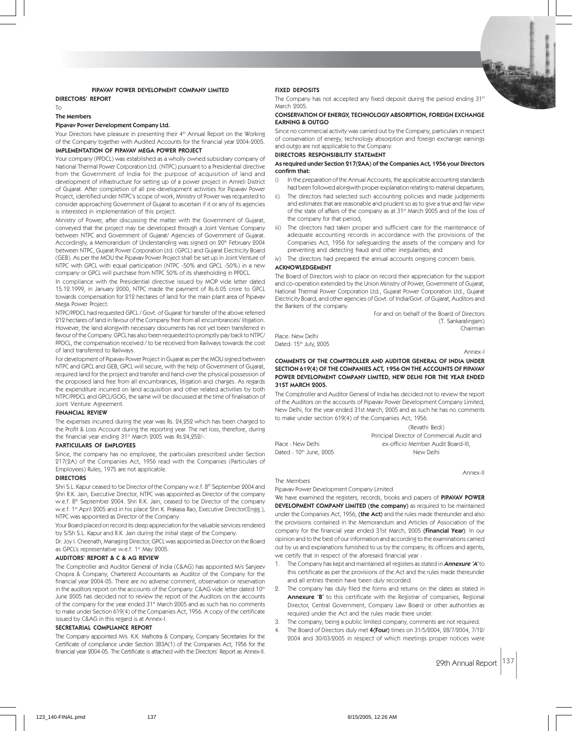

# PIPAVAV POWER DEVELOPMENT COMPANY LIMITED

DIRECTORS' REPORT

The Members

To

## Pipavav Power Development Company Ltd.

Your Directors have pleasure in presenting their 4<sup>th</sup> Annual Report on the Working of the Company together with Audited Accounts for the financial year 2004-2005. IMPLEMENTATION OF PIPAVAV MEGA POWER PROJECT

Your company (PPDCL) was established as a wholly owned subsidiary company of National Thermal Power Corporation Ltd. (NTPC) pursuant to a Presidential directive from the Government of India for the purpose of acquisition of land and development of infrastructure for setting up of a power project in Amreli District of Gujarat. After completion of all pre-development activities for Pipavav Power Project, identified under NTPC's scope of work, Ministry of Power was requested to consider approaching Government of Gujarat to ascertain if it or any of its agencies is interested in implementation of this project.

Ministry of Power, after discussing the matter with the Government of Gujarat, conveyed that the project may be developed through a Joint Venture Company between NTPC and Government of Gujarat/ Agencies of Government of Gujarat. Accordingly, a Memorandum of Understanding was signed on 20<sup>th</sup> February 2004 between NTPC, Gujarat Power Corporation Ltd. (GPCL) and Gujarat Electricity Board (GEB). As per the MOU the Pipavav Power Project shall be set up in Joint Venture of NTPC with GPCL with equal participation (NTPC -50% and GPCL -50%) in a new company or GPCL will purchase from NTPC 50% of its shareholding in PPDCL.

In compliance with the Presidential directive issued by MOP vide letter dated 15.12.1999, in January 2000, NTPC made the payment of Rs.6.05 crore to GPCL towards compensation for 212 hectares of land for the main plant area of Pipavav Mega Power Project.

NTPC/PPDCL had requested GPCL / Govt. of Gujarat for transfer of the above referred 212 hectares of land in favour of the Company free from all encumbrances/ litigation. However, the land alongwith necessary documents has not yet been transferred in favour of the Company. GPCL has also been requested to promptly pay back to NTPC/ PPDCL, the compensation received / to be received from Railways towards the cost of land transferred to Railways.

For development of Pipavav Power Project in Gujarat as per the MOU signed between NTPC and GPCL and GEB, GPCL will secure, with the help of Government of Gujarat, required land for the project and transfer and hand-over the physical possession of the proposed land free from all encumbrances, litigation and charges. As regards the expenditure incurred on land acquisition and other related activities by both NTPC/PPDCL and GPCL/GOG, the same will be discussed at the time of finalisation of Joint Venture Agreement.

#### FINANCIAL REVIEW

The expenses incurred during the year was Rs. 24,252 which has been charged to the Profit & Loss Account during the reporting year. The net loss, therefore, during the financial year ending 31<sup>st</sup> March 2005 was Rs.24,252/-.

## PARTICULARS OF EMPLOYEES

Since, the company has no employee, the particulars prescribed under Section 217(2A) of the Companies Act, 1956 read with the Companies (Particulars of Employees) Rules, 1975 are not applicable.

#### DIRECTORS

Shri S.L. Kapur ceased to be Director of the Company w.e.f. 8th September 2004 and Shri R.K. Jain, Executive Director, NTPC was appointed as Director of the company w.e.f. 8th September 2004. Shri R.K. Jain, ceased to be Director of the company w.e.f. 1<sup>st</sup> April 2005 and in his place Shri K. Prakasa Rao, Executive Director(Engg.), NTPC was appointed as Director of the Company.

Your Board placed on record its deep appreciation for the valuable services rendered by S/Sh S.L. Kapur and R.K. Jain during the initial stage of the Company.

Dr. Joy I. Cheenath, Managing Director, GPCL was appointed as Director on the Board as GPCL's representative w.e.f. 1st May 2005.

#### AUDITORS' REPORT & C & AG REVIEW

The Comptroller and Auditor General of India (C&AG) has appointed M/s Sanjeev Chopra & Company, Chartered Accountants as Auditor of the Company for the financial year 2004-05. There are no adverse comment, observation or reservation in the auditors report on the accounts of the Company. C&AG vide letter dated 10th June 2005 has decided not to review the report of the Auditors on the accounts of the company for the year ended 31st March 2005 and as such has no comments to make under Section 619(4) of the Companies Act, 1956. A copy of the certificate issued by C&AG in this regard is at Annex-I.

#### SECRETARIAL COMPLIANCE REPORT

The Company appointed M/s. K.K. Malhotra & Company, Company Secretaries for the Certificate of compliance under Section 383A(1) of the Companies Act, 1956 for the financial year 2004-05. The Certificate is attached with the Directors' Report as Annex-II.

# FIXED DEPOSITS

The Company has not accepted any fixed deposit during the period ending  $31<sup>st</sup>$ March 2005.

### CONSERVATION OF ENERGY, TECHNOLOGY ABSORPTION, FOREIGN EXCHANGE EARNING & OUTGO

Since no commercial activity was carried out by the Company, particulars in respect of conservation of energy, technology absorption and foreign exchange earnings and outgo are not applicable to the Company.

#### DIRECTORS RESPONSIBILITY STATEMENT

#### As required under Section 217(2AA) of the Companies Act, 1956 your Directors confirm that:

- i) In the preparation of the Annual Accounts, the applicable accounting standards had been followed alongwith proper explanation relating to material departures;
- ii) The directors had selected such accounting policies and made judgements and estimates that are reasonable and prudent so as to give a true and fair view of the state of affairs of the company as at 31<sup>st</sup> March 2005 and of the loss of the company for that period;
- iii) The directors had taken proper and sufficient care for the maintenance of adequate accounting records in accordance with the provisions of the Companies Act, 1956 for safeguarding the assets of the company and for preventing and detecting fraud and other irregularities; and

iv) The directors had prepared the annual accounts ongoing concern basis. ACKNOWLEDGEMENT

The Board of Directors wish to place on record their appreciation for the support and co-operation extended by the Union Ministry of Power, Government of Gujarat, National Thermal Power Corporation Ltd., Gujarat Power Corporation Ltd., Gujarat Electricity Board, and other agencies of Govt. of India/Govt. of Gujarat, Auditors and the Bankers of the company.

> For and on behalf of the Board of Directors (T. Sankaralingam) Chairman

Place: New Delhi Dated: 15<sup>th</sup> July, 2005

The Members

Annex-I

### COMMENTS OF THE COMPTROLLER AND AUDITOR GENERAL OF INDIA UNDER SECTION 619(4) OF THE COMPANIES ACT, 1956 ON THE ACCOUNTS OF PIPAVAV POWER DEVELOPMENT COMPANY LIMITED, NEW DELHI FOR THE YEAR ENDED 31ST MARCH 2005.

The Comptroller and Auditor General of India has decided not to review the report of the Auditors on the accounts of Pipavav Power Development Company Limited, New Delhi, for the year ended 31st March, 2005 and as such he has no comments to make under section 619(4) of the Companies Act, 1956.

(Revathi Bedi) Principal Director of Commercial Audit and Place : New Delhi ex-officio Member Audit Board-III, Dated : 10<sup>th</sup> June, 2005 New Delhi

Annex-II

# Pipavav Power Development Company Limited

We have examined the registers, records, books and papers of PIPAVAV POWER DEVELOPMENT COMPANY LIMITED (the company) as required to be maintained under the Companies Act, 1956, (the Act) and the rules made thereunder and also the provisions contained in the Memorandum and Articles of Association of the company for the financial year ended 31st March, 2005 (Financial Year). In our opinion and to the best of our information and according to the examinations carried out by us and explanations furnished to us by the company, its officers and agents, we certify that in respect of the aforesaid financial year :

- The Company has kept and maintained all registers as stated in **Annexure 'A'** to this certificate as per the provisions of the Act and the rules made thereunder and all entries therein have been duly recorded.
- The company has duly filed the forms and returns on the dates as stated in Annexure 'B' to this certificate with the Registrar of companies, Regional Director, Central Government, Company Law Board or other authorities as required under the Act and the rules made there under.
- 3. The company, being a public limited company, comments are not required.
- The Board of Directors duly met 4(Four) times on 31/5/2004, 28/7/2004, 7/12/ 2004 and 30/03/2005 in respect of which meetings proper notices were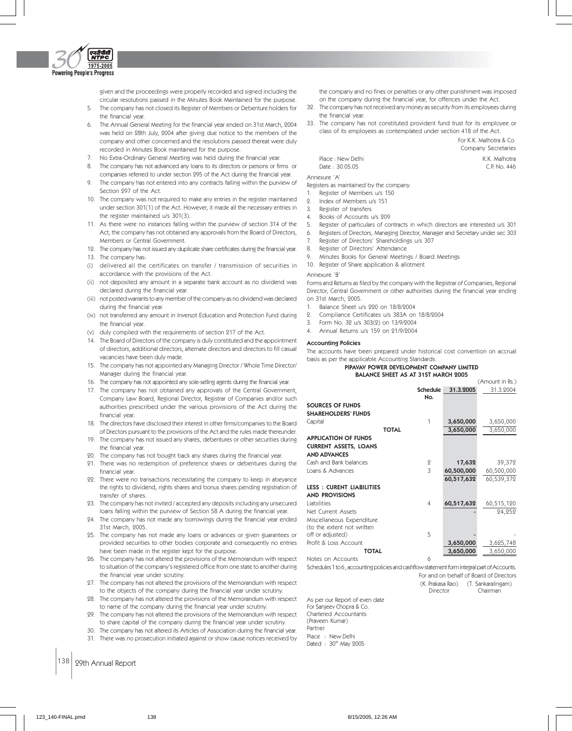

given and the proceedings were properly recorded and signed including the circular resolutions passed in the Minutes Book Maintained for the purpose.

- 5. The company has not closed its Register of Members or Debenture holders for the financial year.
- 6. The Annual General Meeting for the financial year ended on 31st March, 2004 was held on 28th July, 2004 after giving due notice to the members of the company and other concerned and the resolutions passed thereat were duly recorded in Minutes Book maintained for the purpose.
- 7. No Extra-Ordinary General Meeting was held during the financial year.
- 8. The company has not advanced any loans to its directors or persons or firms or companies referred to under section 295 of the Act during the financial year.
- 9. The company has not entered into any contracts falling within the purview of Section 297 of the Act.
- 10. The company was not required to make any entries in the register maintained under section 301(1) of the Act. However, it made all the necessary entries in the register maintained u/s 301(3).
- 11. As there were no instances falling within the purview of section 314 of the Act, the company has not obtained any approvals from the Board of Directors, Members or Central Government.
- 12. The company has not issued any duplicate share certificates during the financial year. 13. The company has:
- (i) delivered all the certificates on transfer / transmission of securities in accordance with the provisions of the Act.
- (ii) not deposited any amount in a separate bank account as no dividend was declared during the financial year.
- (iii) not posted warrants to any member of the company as no dividend was declared during the financial year.
- (iv) not transferred any amount in Inversot Education and Protection Fund during the financial year.
- (v) duly complied with the requirements of section 217 of the Act.
- 14. The Board of Directors of the company is duly constituted and the appointment of directors, additional directors, alternate directors and directors to fill casual vacancies have been duly made.
- 15. The company has not appointed any Managing Director / Whole Time Director/ Manager during the financial year.
- 16. The company has not appointed any sole-selling agents during the financial year.
- 17. The company has not obtained any approvals of the Central Government, Company Law Board, Regional Director, Registrar of Companies and/or such authorities prescribed under the various provisions of the Act during the financial year.
- 18. The directors have disclosed their interest in other firms/companies to the Board of Drectors pursuant to the provisions of the Act and the rules made thereunder.
- 19. The company has not issued any shares, debentures or other securities during the financial year.
- 20. The company has not bought back any shares during the financial year.
- 21. There was no redemption of preference shares or debentures during the financial year.
- 22. There were no transactions necessitating the company to keep in abeyance the rights to dividend, rights shares and bonus shares pending registration of transfer of shares.
- 23. The company has not invited / accepted any deposits including any unsecured loans falling within the purview of Section 58 A during the financial year.
- 24. The company has not made any borrowings during the financial year ended 31st March, 2005.
- 25. The company has not made any loans or advances or given guarantees or provided securities to other bodies corporate and consequently no entries have been made in the register kept for the purpose.
- 26. The company has not altered the provisions of the Memorandum with respect to situation of the company's registered office from one state to another during the financial year under scrutiny.
- 27. The company has not altered the provisions of the Memorandum with respect to the objects of the company during the financial year under scrutiny.
- 28. The company has not altered the provisions of the Memorandum with respect to name of the company during the financial year under scrutiny.
- 29. The company has not altered the provisions of the Memorandum with respect to share capital of the company during the financial year under scrutiny.
- 30. The company has not altered its Articles of Association during the financial year.
- 31. There was no prosecution initiated against or show cause notices received by
- 138 29th Annual Report

the company and no fines or penalties or any other punishment was imposed on the company during the financial year, for offences under the Act.

- 32. The company has not received any money as security from its employees during the financial year.
- 33. The company has not constituted provident fund trust for its employee or class of its employees as contemplated under section 418 of the Act.

|                   | Company Secretaries |
|-------------------|---------------------|
| Place : New Delhi | K.K. Malhotra       |
| Date : 30.05.05   | C.P. No. 446        |
|                   |                     |

For K.K. Malhotra & Co.

Annexure 'A'

Registers as maintained by the company.

- 1. Register of Members u/s 150
- 2. Index of Members u/s 151
- 3. Register of transfers
- 4. Books of Accounts u/s 209
- 5. Register of particulars of contracts in which directors are interested u/s 301
- 6. Registers of Directors, Managing Director, Manager and Secretary under sec 303
- 7. Register of Directors' Shareholdings u/s 307
- 8. Register of Directors' Attendance
- 9. Minutes Books for General Meetings / Board Meetings
- 10. Register of Share application & allotment

#### Annexure 'B'

Forms and Returns as filed by the company with the Registrar of Companies, Regional Director, Central Government or other authorities during the financial year ending on 31st March, 2005.

- 1. Balance Sheet u/s 220 on 18/8/2004
- 2. Compliance Certificates u/s 383A on 18/8/2004
- 3. Form No. 32 u/s 303(2) on 13/9/2004
- 4. Annual Returns u/s 159 on 21/9/2004

### Accounting Policies

The accounts have been prepared under historical cost convention on accrual basis as per the applicable Accounting Standards.

#### PIPAVAV POWER DEVELOPMENT COMPANY LIMITED BALANCE SHEET AS AT 31ST MARCH 2005  $(Amount in Re)$

|                                 |              | <b>Schedule</b><br>No. | 31.3.2005  | 31.3.2004  |
|---------------------------------|--------------|------------------------|------------|------------|
|                                 |              |                        |            |            |
| <b>SOURCES OF FUNDS</b>         |              |                        |            |            |
| <b>SHAREHOLDERS' FUNDS</b>      |              |                        |            |            |
| Capital                         |              | 1                      | 3,650,000  | 3,650,000  |
|                                 | <b>TOTAL</b> |                        | 3,650,000  | 3,650,000  |
| <b>APPLICATION OF FUNDS</b>     |              |                        |            |            |
| <b>CURRENT ASSETS, LOANS</b>    |              |                        |            |            |
| <b>AND ADVANCES</b>             |              |                        |            |            |
| Cash and Bank balances          |              | 2                      | 17,632     | 39,372     |
| Loans & Advances                |              | 3                      | 60,500,000 | 60,500,000 |
|                                 |              |                        | 60,517,632 | 60,539,372 |
| <b>LESS: CURENT LIABILITIES</b> |              |                        |            |            |
| <b>AND PROVISIONS</b>           |              |                        |            |            |
| Liabilities                     |              | $\overline{4}$         | 60,517,632 | 60,515,120 |
| Net Current Assets              |              |                        |            | 24,252     |
| Miscellaneous Expenditure       |              |                        |            |            |
| (to the extent not written      |              |                        |            |            |
| off or adjusted)                |              | 5                      |            |            |
| Profit & Loss Account           |              |                        | 3,650,000  | 3,625,748  |
| <b>TOTAL</b>                    |              |                        | 3,650,000  | 3,650,000  |
| Notes on Accounts               |              | 6                      |            |            |

Schedules 1 to 6 , accounting policies and cashflow statement form integral part of Accounts.

For and on behalf of Board of Directors

(K. Prakasa Rao) (T. Sankaralingam) Director Chairman

As per our Report of even date For Sanjeev Chopra & Co. Chartered Accountants (Praveen Kumar) Partner Place : New Delhi Dated : 30<sup>th</sup> May 2005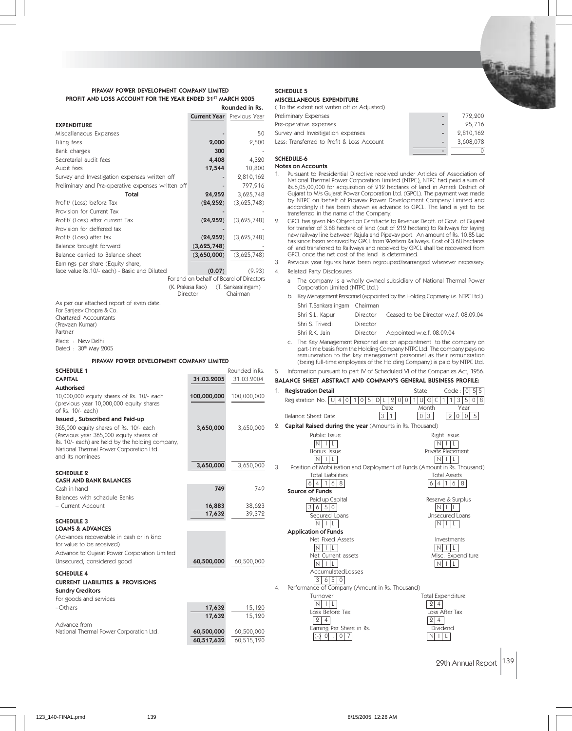

 $- 772,200$ 

# PIPAVAV POWER DEVELOPMENT COMPANY LIMITED PROFIT AND LOSS ACCOUNT FOR THE YEAR ENDED 31ST MARCH 2005 Rounded in Rs.

|                                                                         | <b>Current Year</b>                     | Previous Year      | Preliminary Expense                                |
|-------------------------------------------------------------------------|-----------------------------------------|--------------------|----------------------------------------------------|
| <b>EXPENDITURE</b>                                                      |                                         |                    | Pre-operative exper                                |
| Miscellaneous Expenses                                                  |                                         | 50                 | Survey and Investiga                               |
| Filing fees                                                             | 2,000                                   | 2,500              | Less: Transferred to                               |
| Bank charges                                                            | 300                                     |                    |                                                    |
| Secretarial audit fees                                                  | 4,408                                   | 4,320              | <b>SCHEDULE-6</b>                                  |
| Audit fees                                                              | 17,544                                  | 10,800             | <b>Notes on Accounts</b><br>Pursuant to Pre:<br>1. |
| Survey and Investigation expenses written off                           |                                         | 2,810,162          | National Therma                                    |
| Preliminary and Pre-operative expenses written off                      |                                         | 797,916            | Rs.6,05,00,000                                     |
| Total                                                                   | 24,252                                  | 3,625,748          | Gujarat to M/s G<br>by NTPC on be                  |
| Profit/ (Loss) before Tax                                               | (24, 252)                               | (3,625,748)        | accordingly it h                                   |
| Provision for Current Tax                                               |                                         |                    | transferred in th                                  |
| Profit/ (Loss) after current Tax<br>Provision for deffered tax          | (24, 252)                               | (3,625,748)        | 2.<br>GPCL has given<br>for transfer of 3          |
| Profit/ (Loss) after tax                                                | (24, 252)                               | (3,625,748)        | new railway line                                   |
| Balance brought forward                                                 | (3,625,748)                             |                    | has since been                                     |
| Balance carried to Balance sheet                                        | (3,650,000)                             | (3,625,748)        | of land transferr<br>GPCL once the                 |
| Earnings per share (Equity share,                                       |                                         |                    | 3.<br>Previous year fi                             |
| face value Rs.10/- each) - Basic and Diluted                            | (0.07)                                  | (9.93)             | 4.<br>Related Party D                              |
|                                                                         | For and on behalf of Board of Directors |                    | The compa<br>a                                     |
|                                                                         | (K. Prakasa Rao)                        | (T. Sankaralingam) | Corporation                                        |
|                                                                         | Director                                | Chairman           | Key Manager<br>b.                                  |
| As per our attached report of even date.<br>For Sanjeev Chopra & Co.    |                                         |                    | Shri T.Sanka                                       |
| Chartered Accountants                                                   |                                         |                    | Shri S.L. Kaj                                      |
| (Praveen Kumar)                                                         |                                         |                    | Shri S. Trive                                      |
| Partner                                                                 |                                         |                    | Shri R.K. Jai                                      |
| Place : New Delhi                                                       |                                         |                    | c. The Key Ma                                      |
| Dated: 30th May 2005                                                    |                                         |                    | part-time ba<br>remuneratio                        |
| PIPAVAV POWER DEVELOPMENT COMPANY LIMITED                               |                                         |                    | (being full-t                                      |
| <b>SCHEDULE 1</b>                                                       |                                         | Rounded in Rs.     | 5.<br>Information pur                              |
| <b>CAPITAL</b>                                                          | 31.03.2005                              | 31.03.2004         | <b>BALANCE SHEET AI</b>                            |
| Authorised                                                              |                                         |                    | <b>Registration Det</b><br>1.                      |
| 10,000,000 equity shares of Rs. 10/- each                               | 100,000,000                             | 100,000,000        | Registration No.                                   |
| (previous year 10,000,000 equity shares<br>of Rs. 10/- each)            |                                         |                    |                                                    |
| Issued, Subscribed and Paid-up                                          |                                         |                    | Balance Sheet D                                    |
| 365,000 equity shares of Rs. 10/- each                                  | 3,650,000                               | 3,650,000          | 2. Capital Raised o                                |
| (Previous year 365,000 equity shares of                                 |                                         |                    | Public                                             |
| Rs. 10/- each) are held by the holding company,                         |                                         |                    | $N$                                                |
| National Thermal Power Corporation Ltd.<br>and its nominees             |                                         |                    |                                                    |
|                                                                         |                                         |                    | <b>Bonus</b>                                       |
|                                                                         |                                         |                    | ΝI<br>- 1                                          |
| <b>SCHEDULE 2</b>                                                       | 3,650,000                               | 3,650,000          | 3.<br>Position of Mo                               |
| <b>CASH AND BANK BALANCES</b>                                           |                                         |                    | Total L                                            |
| Cash in hand                                                            | 749                                     | 749                | $\overline{4}$<br>6                                |
| Balances with schedule Banks                                            |                                         |                    | Source of Fund<br>Paid ur                          |
| - Current Account                                                       | 16,883                                  | 38,623             | 3 6 5                                              |
|                                                                         | 17,632                                  | 39,372             | Secure                                             |
| <b>SCHEDULE 3</b>                                                       |                                         |                    | $N$   I                                            |
| <b>LOANS &amp; ADVANCES</b><br>(Advances recoverable in cash or in kind |                                         |                    | Application of                                     |
| for value to be received)                                               |                                         |                    | Net Fix                                            |
| Advance to Gujarat Power Corporation Limited                            |                                         |                    | $N$                                                |
| Unsecured, considered good                                              | 60,500,000                              | 60,500,000         | Net Cl<br>$N$                                      |

# SCHEDULE 5 MISCELLANEOUS EXPENDITURE

| (To the extent not writen off or Adjusted) |  |
|--------------------------------------------|--|
| Preliminary Expenses                       |  |

| Pre-operative expenses                     | - | 25,716    |
|--------------------------------------------|---|-----------|
| Survey and Investigation expenses          |   | 2,810,162 |
| Less: Transferred to Profit & Loss Account |   | 3,608,078 |
|                                            | - |           |

1. Pursuant to Presidential Directive received under Articles of Association of<br>National Thermal Power Corporation Limited (NTPC), NTPC had paid a sum of<br>Rs.6,05,00,000 for acquisition of 212 hectares of land in Amreli Dis Gujarat to M/s Gujarat Power Corporation Ltd. (GPCL). The payment was made by NTPC on behalf of Pipavav Power Development Company Limited and has been shown as advance to GPCL. The land is yet to be he name of the Company.

No Objection Certifiacte to Revenue Deptt. of Govt. of Gujarat for transfer of 3.68 hectare of land (out of 212 hectare) to Railways for laying<br>new railway line between Rajula and Pipavav port. An amount of Rs. 10.85 Lac<br>has since been received by GPCL from Western Railways. Cost of red to Railways and received by GPCL shall be recovered from net cost of the land is determined.

igures have been regrouped/rearranged wherever necessary. isclosures

- iny is a wholly owned subsidiary of National Thermal Power Limited (NTPC Ltd.)
- ment Personnel (appointed by the Holding Copmany i.e. NTPC Ltd.) aralingam Chairman

| Shri S.L. Kapur | Director | Ceased to be Director w.e.f. 08.09.04 |
|-----------------|----------|---------------------------------------|
| Shri S. Trivedi | Director |                                       |
|                 |          |                                       |

in Director Appointed w.e.f. 08.09.04

nagement Personnel are on appointment to the company on part-time basis from the Holding Company NTPC Ltd. The company pays no on to the key management personnel as their remuneration time employees of the Holding Company) is paid by NTPC Ltd.

# suant to part IV of Scheduled VI of the Companies Act, 1956. BSTRACT AND COMPANY'S GENERAL BUSINESS PROFILE:

| <b>Authorised</b>                                                                                         |                  |             | 1. | <b>Registration Detail</b>                                                      | Code: 0<br>5 5<br>State             |
|-----------------------------------------------------------------------------------------------------------|------------------|-------------|----|---------------------------------------------------------------------------------|-------------------------------------|
| 10,000,000 equity shares of Rs. 10/- each<br>(previous year 10,000,000 equity shares<br>of Rs. 10/- each) | 100,000,000      | 100,000,000 |    | $\Omega$<br>Registration No. $ U $ 4   0  <br>$\Omega$<br>.5<br>0<br>10<br>Date | 5<br>0 8<br>G<br>3<br>Year<br>Month |
| Issued, Subscribed and Paid-up                                                                            |                  |             |    | 3 <br>$\mathbf{1}$<br>Balance Sheet Date                                        | 0 3<br>2005                         |
| 365,000 equity shares of Rs. 10/- each                                                                    | 3,650,000        | 3,650,000   |    | 2. Capital Raised during the year (Amounts in Rs. Thousand)                     |                                     |
| (Previous year 365,000 equity shares of<br>Rs. 10/- each) are held by the holding company,                |                  |             |    | Public Issue<br>N                                                               | Right issue<br>Ν                    |
| National Thermal Power Corporation Ltd.                                                                   |                  |             |    | Bonus Issue                                                                     | Private Placement                   |
| and its nominees                                                                                          |                  |             |    | $\overline{\mathsf{N}}$                                                         | $\mathbb N$                         |
|                                                                                                           | 3,650,000        | 3,650,000   | 3. | Position of Mobilisation and Deployment of Funds (Amount in Rs. Thousand)       |                                     |
| <b>SCHEDULE 2</b>                                                                                         |                  |             |    | <b>Total Liabilities</b>                                                        | <b>Total Assets</b>                 |
| <b>CASH AND BANK BALANCES</b>                                                                             |                  |             |    | 1 6 8<br>6 4                                                                    | 6 4 1 6 8                           |
| Cash in hand                                                                                              | 749              | 749         |    | Source of Funds                                                                 |                                     |
| Balances with schedule Banks                                                                              |                  |             |    | Paid up Capital                                                                 | Reserve & Surplus                   |
| - Current Account                                                                                         | 16,883<br>17,632 | 38,623      |    | 3 6<br>50                                                                       | IN.                                 |
| <b>SCHEDULE 3</b>                                                                                         |                  | 39,372      |    | Secured Loans                                                                   | Unsecured Loans                     |
| <b>LOANS &amp; ADVANCES</b>                                                                               |                  |             |    | IN.<br>ΤĿ<br><b>Application of Funds</b>                                        | $N$ $ l $                           |
| (Advances recoverable in cash or in kind                                                                  |                  |             |    | Net Fixed Assets                                                                | Investments                         |
| for value to be received)                                                                                 |                  |             |    | IN.                                                                             | IN.                                 |
| Advance to Gujarat Power Corporation Limited                                                              |                  |             |    | Net Current assets                                                              | Misc. Expenditure                   |
| Unsecured, considered good                                                                                | 60,500,000       | 60,500,000  |    | $N$ $ $ $ $ $ $ $ $                                                             | $N+L$                               |
| <b>SCHEDULE 4</b>                                                                                         |                  |             |    | AccumulatedLosses                                                               |                                     |
| <b>CURRENT LIABILITIES &amp; PROVISIONS</b>                                                               |                  |             |    | $6 \mid 5 \mid 0$<br> 3                                                         |                                     |
| <b>Sundry Creditors</b>                                                                                   |                  |             | 4. | Performance of Company (Amount in Rs. Thousand)                                 |                                     |
| For goods and services                                                                                    |                  |             |    | Turnover                                                                        | <b>Total Expenditure</b>            |
| -Others                                                                                                   | 17,632           | 15,120      |    | $\overline{\mathsf{N}}$<br>Loss Before Tax                                      | 2 4<br>Loss After Tax               |
|                                                                                                           | 17,632           | 15,120      |    | $\mathbf{2}$<br>$\overline{4}$                                                  | 2 4                                 |
| Advance from                                                                                              |                  |             |    | Earning Per Share in Rs.                                                        | Dividend                            |
| National Thermal Power Corporation Ltd.                                                                   | 60,500,000       | 60,500,000  |    | $(-)$<br>$\Omega$<br>0 <sub>1</sub>                                             | NI I<br>L.                          |
|                                                                                                           | 60,517,632       | 60,515,120  |    |                                                                                 |                                     |
|                                                                                                           |                  |             |    |                                                                                 |                                     |
|                                                                                                           |                  |             |    |                                                                                 |                                     |